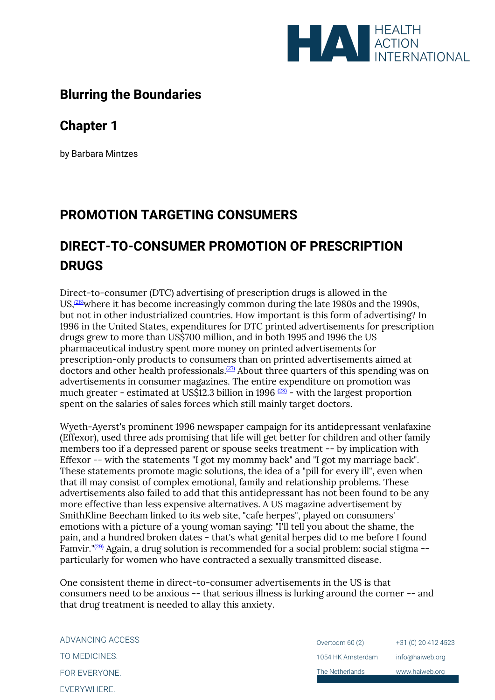

# **Blurring the Boundaries**

# **Chapter 1**

by Barbara Mintzes

# **PROMOTION TARGETING CONSUMERS**

# **DIRECT-TO-CONSUMER PROMOTION OF PRESCRIPTION DRUGS**

Direct-to-consumer (DTC) advertising of prescription drugs is allowed in the US, $(26)$  where it has become increasingly common during the late 1980s and the 1990s, but not in other industrialized countries. How important is this form of advertising? In 1996 in the United States, expenditures for DTC printed advertisements for prescription drugs grew to more than US\$700 million, and in both 1995 and 1996 the US pharmaceutical industry spent more money on printed advertisements for prescription-only products to consumers than on printed advertisements aimed at doctors and other health professionals.[\(27\)](file:///C:/Users/Dimity/OneDrive%20-%20HAI/Reports,%20papers/Blurring/blurring.ch1.html%23N_27_) About three quarters of this spending was on advertisements in consumer magazines. The entire expenditure on promotion was much greater - estimated at US\$12.3 billion in 1996<sup>[\(28\)](file:///C:/Users/Dimity/OneDrive%20-%20HAI/Reports,%20papers/Blurring/blurring.ch1.html%23N_28_)</sup> - with the largest proportion spent on the salaries of sales forces which still mainly target doctors.

Wyeth-Ayerst's prominent 1996 newspaper campaign for its antidepressant venlafaxine (Effexor), used three ads promising that life will get better for children and other family members too if a depressed parent or spouse seeks treatment -- by implication with Effexor -- with the statements "I got my mommy back" and "I got my marriage back". These statements promote magic solutions, the idea of a "pill for every ill", even when that ill may consist of complex emotional, family and relationship problems. These advertisements also failed to add that this antidepressant has not been found to be any more effective than less expensive alternatives. A US magazine advertisement by SmithKline Beecham linked to its web site, "cafe herpes", played on consumers' emotions with a picture of a young woman saying: "I'll tell you about the shame, the pain, and a hundred broken dates - that's what genital herpes did to me before I found Famvir." $(29)$  Again, a drug solution is recommended for a social problem: social stigma -particularly for women who have contracted a sexually transmitted disease.

One consistent theme in direct-to-consumer advertisements in the US is that consumers need to be anxious -- that serious illness is lurking around the corner -- and that drug treatment is needed to allay this anxiety.

ADVANCING ACCESS TO MEDICINES. FOR EVERYONE. **EVERYWHERE** 

Overtoom 60 (2) 1054 HK Amsterdam The Netherlands +31 (0) 20 412 4523 info@haiweb.org www.haiweb.org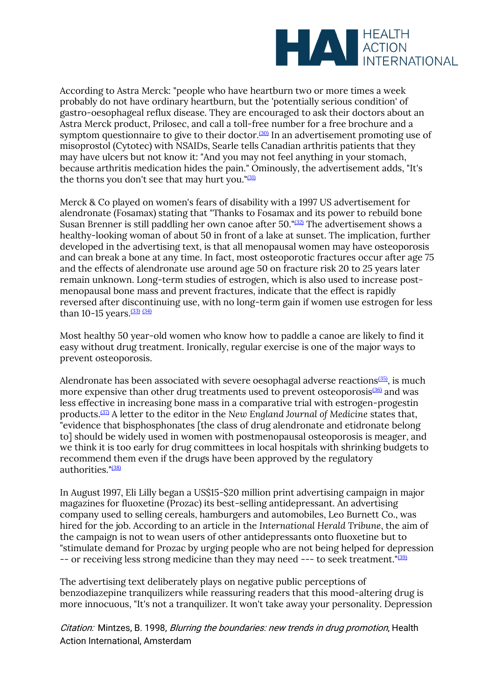

According to Astra Merck: "people who have heartburn two or more times a week probably do not have ordinary heartburn, but the 'potentially serious condition' of gastro-oesophageal reflux disease. They are encouraged to ask their doctors about an Astra Merck product, Prilosec, and call a toll-free number for a free brochure and a symptom questionnaire to give to their doctor.<sup>[\(30\)](file:///C:/Users/Dimity/OneDrive%20-%20HAI/Reports,%20papers/Blurring/blurring.ch1.html%23N_30_)</sup> In an advertisement promoting use of misoprostol (Cytotec) with NSAIDs, Searle tells Canadian arthritis patients that they may have ulcers but not know it: "And you may not feel anything in your stomach, because arthritis medication hides the pain." Ominously, the advertisement adds, "It's the thorns you don't see that may hurt you." $(31)$ 

Merck & Co played on women's fears of disability with a 1997 US advertisement for alendronate (Fosamax) stating that "Thanks to Fosamax and its power to rebuild bone Susan Brenner is still paddling her own canoe after 50." $(32)$  The advertisement shows a healthy-looking woman of about 50 in front of a lake at sunset. The implication, further developed in the advertising text, is that all menopausal women may have osteoporosis and can break a bone at any time. In fact, most osteoporotic fractures occur after age 75 and the effects of alendronate use around age 50 on fracture risk 20 to 25 years later remain unknown. Long-term studies of estrogen, which is also used to increase postmenopausal bone mass and prevent fractures, indicate that the effect is rapidly reversed after discontinuing use, with no long-term gain if women use estrogen for less than 10-15 years.  $(33)$   $(34)$ 

Most healthy 50 year-old women who know how to paddle a canoe are likely to find it easy without drug treatment. Ironically, regular exercise is one of the major ways to prevent osteoporosis.

Alendronate has been associated with severe oesophagal adverse reactions<sup> $(35)$ </sup>, is much more expensive than other drug treatments used to prevent osteoporosis<sup>[\(36\)](file:///C:/Users/Dimity/OneDrive%20-%20HAI/Reports,%20papers/Blurring/blurring.ch1.html%23N_36_)</sup> and was less effective in increasing bone mass in a comparative trial with estrogen-progestin products.[\(37\)](file:///C:/Users/Dimity/OneDrive%20-%20HAI/Reports,%20papers/Blurring/blurring.ch1.html%23N_37_) A letter to the editor in the *New England Journal of Medicine* states that, "evidence that bisphosphonates [the class of drug alendronate and etidronate belong to] should be widely used in women with postmenopausal osteoporosis is meager, and we think it is too early for drug committees in local hospitals with shrinking budgets to recommend them even if the drugs have been approved by the regulatory authorities."<sup>[\(38\)](file:///C:/Users/Dimity/OneDrive%20-%20HAI/Reports,%20papers/Blurring/blurring.ch1.html%23N_38_)</sup>

In August 1997, Eli Lilly began a US\$15-\$20 million print advertising campaign in major magazines for fluoxetine (Prozac) its best-selling antidepressant. An advertising company used to selling cereals, hamburgers and automobiles, Leo Burnett Co., was hired for the job. According to an article in the *International Herald Tribune*, the aim of the campaign is not to wean users of other antidepressants onto fluoxetine but to "stimulate demand for Prozac by urging people who are not being helped for depression -- or receiving less strong medicine than they may need --- to seek treatment."<sup>[\(39\)](file:///C:/Users/Dimity/OneDrive%20-%20HAI/Reports,%20papers/Blurring/blurring.ch1.html%23N_39_)</sup>

The advertising text deliberately plays on negative public perceptions of benzodiazepine tranquilizers while reassuring readers that this mood-altering drug is more innocuous, "It's not a tranquilizer. It won't take away your personality. Depression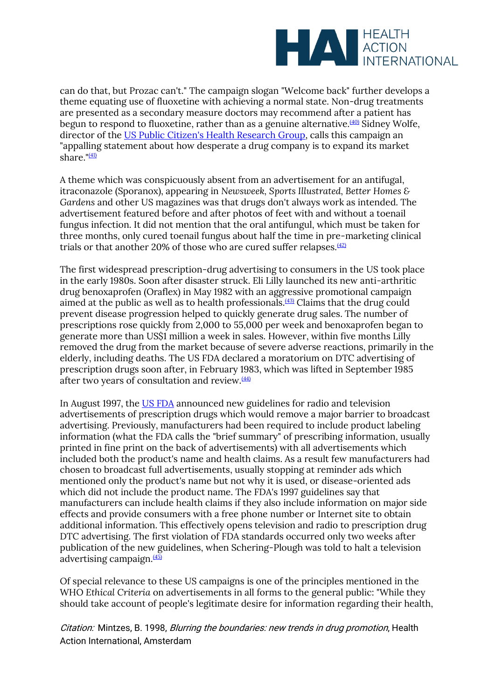

can do that, but Prozac can't." The campaign slogan "Welcome back" further develops a theme equating use of fluoxetine with achieving a normal state. Non-drug treatments are presented as a secondary measure doctors may recommend after a patient has begun to respond to fluoxetine, rather than as a genuine alternative. $(40)$  Sidney Wolfe, director of the [US Public Citizen's Health Research Group,](http://www.public.org/) calls this campaign an "appalling statement about how desperate a drug company is to expand its market share." $(41)$ 

A theme which was conspicuously absent from an advertisement for an antifugal, itraconazole (Sporanox), appearing in *Newsweek, Sports Illustrated, Better Homes & Gardens* and other US magazines was that drugs don't always work as intended. The advertisement featured before and after photos of feet with and without a toenail fungus infection. It did not mention that the oral antifungul, which must be taken for three months, only cured toenail fungus about half the time in pre-marketing clinical trials or that another 20% of those who are cured suffer relapses. $(42)$ 

The first widespread prescription-drug advertising to consumers in the US took place in the early 1980s. Soon after disaster struck. Eli Lilly launched its new anti-arthritic drug benoxaprofen (Oraflex) in May 1982 with an aggressive promotional campaign aimed at the public as well as to health professionals. $(43)$  Claims that the drug could prevent disease progression helped to quickly generate drug sales. The number of prescriptions rose quickly from 2,000 to 55,000 per week and benoxaprofen began to generate more than US\$1 million a week in sales. However, within five months Lilly removed the drug from the market because of severe adverse reactions, primarily in the elderly, including deaths. The US FDA declared a moratorium on DTC advertising of prescription drugs soon after, in February 1983, which was lifted in September 1985 after two years of consultation and review. $(44)$ 

In August 1997, the [US FDA](http://www.fda.gov/) announced new guidelines for radio and television advertisements of prescription drugs which would remove a major barrier to broadcast advertising. Previously, manufacturers had been required to include product labeling information (what the FDA calls the "brief summary" of prescribing information, usually printed in fine print on the back of advertisements) with all advertisements which included both the product's name and health claims. As a result few manufacturers had chosen to broadcast full advertisements, usually stopping at reminder ads which mentioned only the product's name but not why it is used, or disease-oriented ads which did not include the product name. The FDA's 1997 guidelines say that manufacturers can include health claims if they also include information on major side effects and provide consumers with a free phone number or Internet site to obtain additional information. This effectively opens television and radio to prescription drug DTC advertising. The first violation of FDA standards occurred only two weeks after publication of the new guidelines, when Schering-Plough was told to halt a television advertising campaign.<sup>[\(45\)](file:///C:/Users/Dimity/OneDrive%20-%20HAI/Reports,%20papers/Blurring/blurring.ch1.html%23N_45_)</sup>

Of special relevance to these US campaigns is one of the principles mentioned in the WHO *Ethical Criteria* on advertisements in all forms to the general public: "While they should take account of people's legitimate desire for information regarding their health,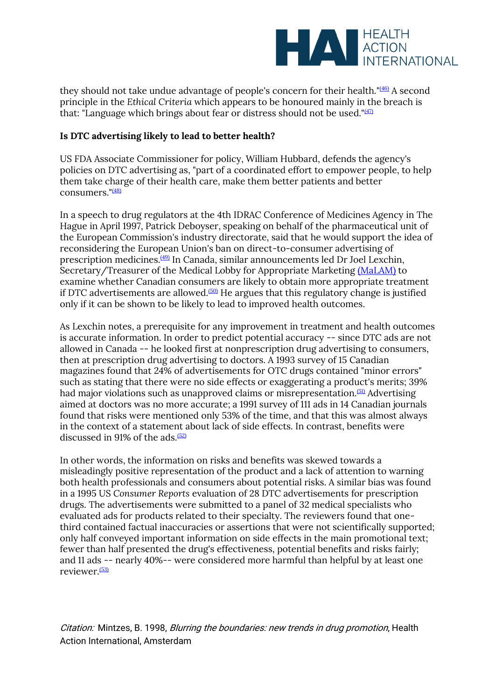

they should not take undue advantage of people's concern for their health."<sup>[\(46\)](file:///C:/Users/Dimity/OneDrive%20-%20HAI/Reports,%20papers/Blurring/blurring.ch1.html%23N_46_)</sup> A second principle in the *Ethical Criteria* which appears to be honoured mainly in the breach is that: "Language which brings about fear or distress should not be used."<sup>[\(47\)](file:///C:/Users/Dimity/OneDrive%20-%20HAI/Reports,%20papers/Blurring/blurring.ch1.html%23N_47_)</sup>

# **Is DTC advertising likely to lead to better health?**

US FDA Associate Commissioner for policy, William Hubbard, defends the agency's policies on DTC advertising as, "part of a coordinated effort to empower people, to help them take charge of their health care, make them better patients and better consumers."[\(48\)](file:///C:/Users/Dimity/OneDrive%20-%20HAI/Reports,%20papers/Blurring/blurring.ch1.html%23N_48_)

In a speech to drug regulators at the 4th IDRAC Conference of Medicines Agency in The Hague in April 1997, Patrick Deboyser, speaking on behalf of the pharmaceutical unit of the European Commission's industry directorate, said that he would support the idea of reconsidering the European Union's ban on direct-to-consumer advertising of prescription medicines.[\(49\)](file:///C:/Users/Dimity/OneDrive%20-%20HAI/Reports,%20papers/Blurring/blurring.ch1.html%23N_49_) In Canada, similar announcements led Dr Joel Lexchin, Secretary/Treasurer of the Medical Lobby for Appropriate Marketing [\(MaLAM\)](http://www.camtech.net.au/malam) to examine whether Canadian consumers are likely to obtain more appropriate treatment if DTC advertisements are allowed.<sup> $(50)$ </sup> He argues that this regulatory change is justified only if it can be shown to be likely to lead to improved health outcomes.

As Lexchin notes, a prerequisite for any improvement in treatment and health outcomes is accurate information. In order to predict potential accuracy -- since DTC ads are not allowed in Canada -- he looked first at nonprescription drug advertising to consumers, then at prescription drug advertising to doctors. A 1993 survey of 15 Canadian magazines found that 24% of advertisements for OTC drugs contained "minor errors" such as stating that there were no side effects or exaggerating a product's merits; 39% had major violations such as unapproved claims or misrepresentation.<sup>[\(51\)](file:///C:/Users/Dimity/OneDrive%20-%20HAI/Reports,%20papers/Blurring/blurring.ch1.html%23N_51_)</sup> Advertising aimed at doctors was no more accurate; a 1991 survey of 111 ads in 14 Canadian journals found that risks were mentioned only 53% of the time, and that this was almost always in the context of a statement about lack of side effects. In contrast, benefits were discussed in 91% of the ads.<sup> $(52)$ </sup>

In other words, the information on risks and benefits was skewed towards a misleadingly positive representation of the product and a lack of attention to warning both health professionals and consumers about potential risks. A similar bias was found in a 1995 US *Consumer Reports* evaluation of 28 DTC advertisements for prescription drugs. The advertisements were submitted to a panel of 32 medical specialists who evaluated ads for products related to their specialty. The reviewers found that onethird contained factual inaccuracies or assertions that were not scientifically supported; only half conveyed important information on side effects in the main promotional text; fewer than half presented the drug's effectiveness, potential benefits and risks fairly; and 11 ads -- nearly 40%-- were considered more harmful than helpful by at least one reviewer.[\(53\)](file:///C:/Users/Dimity/OneDrive%20-%20HAI/Reports,%20papers/Blurring/blurring.ch1.html%23N_53_)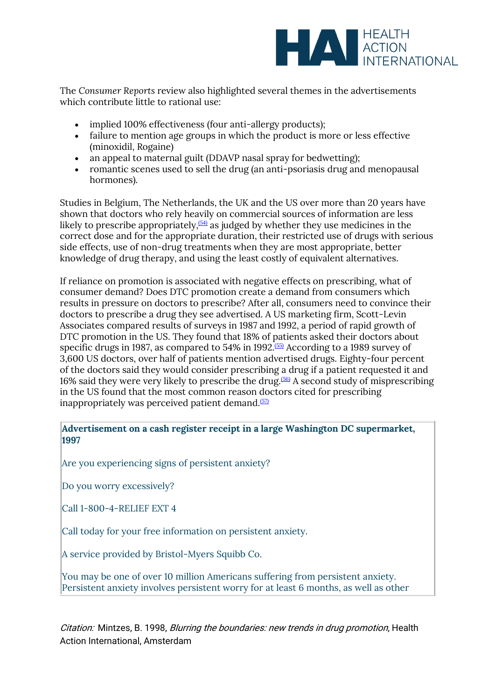

The *Consumer Reports* review also highlighted several themes in the advertisements which contribute little to rational use:

- implied 100% effectiveness (four anti-allergy products);
- failure to mention age groups in which the product is more or less effective (minoxidil, Rogaine)
- an appeal to maternal guilt (DDAVP nasal spray for bedwetting);
- romantic scenes used to sell the drug (an anti-psoriasis drug and menopausal hormones).

Studies in Belgium, The Netherlands, the UK and the US over more than 20 years have shown that doctors who rely heavily on commercial sources of information are less likely to prescribe appropriately,  $(54)$  as judged by whether they use medicines in the correct dose and for the appropriate duration, their restricted use of drugs with serious side effects, use of non-drug treatments when they are most appropriate, better knowledge of drug therapy, and using the least costly of equivalent alternatives.

If reliance on promotion is associated with negative effects on prescribing, what of consumer demand? Does DTC promotion create a demand from consumers which results in pressure on doctors to prescribe? After all, consumers need to convince their doctors to prescribe a drug they see advertised. A US marketing firm, Scott-Levin Associates compared results of surveys in 1987 and 1992, a period of rapid growth of DTC promotion in the US. They found that 18% of patients asked their doctors about specific drugs in 1987, as compared to 54% in 1992.<sup>[\(55\)](file:///C:/Users/Dimity/OneDrive%20-%20HAI/Reports,%20papers/Blurring/blurring.ch1.html%23N_55_)</sup> According to a 1989 survey of 3,600 US doctors, over half of patients mention advertised drugs. Eighty-four percent of the doctors said they would consider prescribing a drug if a patient requested it and 16% said they were very likely to prescribe the drug.<sup> $(56)$ </sup> A second study of misprescribing in the US found that the most common reason doctors cited for prescribing inappropriately was perceived patient demand. $(57)$ 

**Advertisement on a cash register receipt in a large Washington DC supermarket, 1997**

Are you experiencing signs of persistent anxiety?

Do you worry excessively?

Call 1-800-4-RELIEF EXT 4

Call today for your free information on persistent anxiety.

A service provided by Bristol-Myers Squibb Co.

You may be one of over 10 million Americans suffering from persistent anxiety. Persistent anxiety involves persistent worry for at least 6 months, as well as other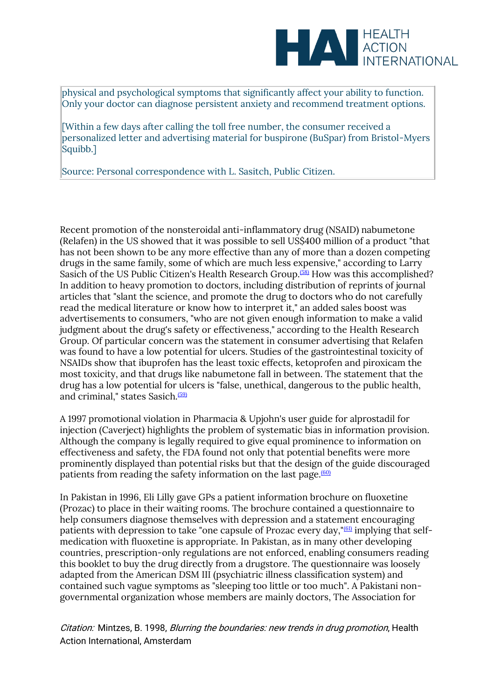

physical and psychological symptoms that significantly affect your ability to function. Only your doctor can diagnose persistent anxiety and recommend treatment options.

[Within a few days after calling the toll free number, the consumer received a personalized letter and advertising material for buspirone (BuSpar) from Bristol-Myers Squibb.]

Source: Personal correspondence with L. Sasitch, Public Citizen.

Recent promotion of the nonsteroidal anti-inflammatory drug (NSAID) nabumetone (Relafen) in the US showed that it was possible to sell US\$400 million of a product "that has not been shown to be any more effective than any of more than a dozen competing drugs in the same family, some of which are much less expensive," according to Larry Sasich of the US Public Citizen's Health Research Group.<sup>[\(58\)](file:///C:/Users/Dimity/OneDrive%20-%20HAI/Reports,%20papers/Blurring/blurring.ch1.html%23N_58_)</sup> How was this accomplished? In addition to heavy promotion to doctors, including distribution of reprints of journal articles that "slant the science, and promote the drug to doctors who do not carefully read the medical literature or know how to interpret it," an added sales boost was advertisements to consumers, "who are not given enough information to make a valid judgment about the drug's safety or effectiveness," according to the Health Research Group. Of particular concern was the statement in consumer advertising that Relafen was found to have a low potential for ulcers. Studies of the gastrointestinal toxicity of NSAIDs show that ibuprofen has the least toxic effects, ketoprofen and piroxicam the most toxicity, and that drugs like nabumetone fall in between. The statement that the drug has a low potential for ulcers is "false, unethical, dangerous to the public health, and criminal," states Sasich.[\(59\)](file:///C:/Users/Dimity/OneDrive%20-%20HAI/Reports,%20papers/Blurring/blurring.ch1.html%23N_59_)

A 1997 promotional violation in Pharmacia & Upjohn's user guide for alprostadil for injection (Caverject) highlights the problem of systematic bias in information provision. Although the company is legally required to give equal prominence to information on effectiveness and safety, the FDA found not only that potential benefits were more prominently displayed than potential risks but that the design of the guide discouraged patients from reading the safety information on the last page.<sup>[\(60\)](file:///C:/Users/Dimity/OneDrive%20-%20HAI/Reports,%20papers/Blurring/blurring.ch1.html%23N_60_)</sup>

In Pakistan in 1996, Eli Lilly gave GPs a patient information brochure on fluoxetine (Prozac) to place in their waiting rooms. The brochure contained a questionnaire to help consumers diagnose themselves with depression and a statement encouraging patients with depression to take "one capsule of Prozac every day," $(61)$  implying that selfmedication with fluoxetine is appropriate. In Pakistan, as in many other developing countries, prescription-only regulations are not enforced, enabling consumers reading this booklet to buy the drug directly from a drugstore. The questionnaire was loosely adapted from the American DSM III (psychiatric illness classification system) and contained such vague symptoms as "sleeping too little or too much". A Pakistani nongovernmental organization whose members are mainly doctors, The Association for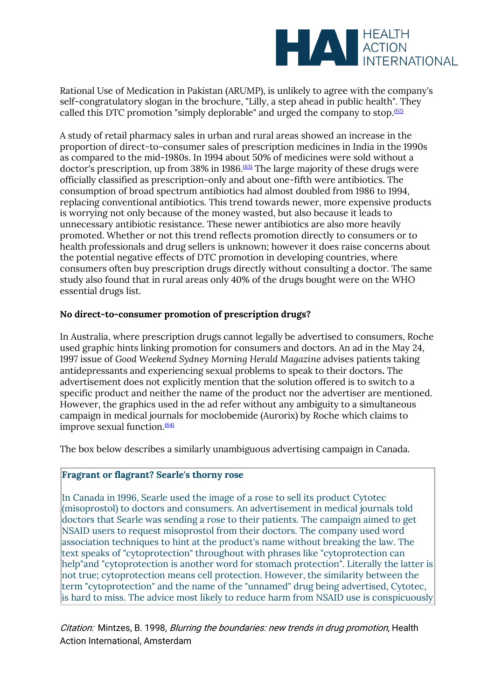

Rational Use of Medication in Pakistan (ARUMP), is unlikely to agree with the company's self-congratulatory slogan in the brochure, "Lilly, a step ahead in public health". They called this DTC promotion "simply deplorable" and urged the company to stop. $(62)$ 

A study of retail pharmacy sales in urban and rural areas showed an increase in the proportion of direct-to-consumer sales of prescription medicines in India in the 1990s as compared to the mid-1980s. In 1994 about 50% of medicines were sold without a doctor's prescription, up from 38% in 1986.<sup>[\(63\)](file:///C:/Users/Dimity/OneDrive%20-%20HAI/Reports,%20papers/Blurring/blurring.ch1.html%23N_63_)</sup> The large majority of these drugs were officially classified as prescription-only and about one-fifth were antibiotics. The consumption of broad spectrum antibiotics had almost doubled from 1986 to 1994, replacing conventional antibiotics. This trend towards newer, more expensive products is worrying not only because of the money wasted, but also because it leads to unnecessary antibiotic resistance. These newer antibiotics are also more heavily promoted. Whether or not this trend reflects promotion directly to consumers or to health professionals and drug sellers is unknown; however it does raise concerns about the potential negative effects of DTC promotion in developing countries, where consumers often buy prescription drugs directly without consulting a doctor. The same study also found that in rural areas only 40% of the drugs bought were on the WHO essential drugs list.

#### **No direct-to-consumer promotion of prescription drugs?**

In Australia, where prescription drugs cannot legally be advertised to consumers, Roche used graphic hints linking promotion for consumers and doctors. An ad in the May 24, 1997 issue of *Good Weekend Sydney Morning Herald Magazine* advises patients taking antidepressants and experiencing sexual problems to speak to their doctors**.** The advertisement does not explicitly mention that the solution offered is to switch to a specific product and neither the name of the product nor the advertiser are mentioned. However, the graphics used in the ad refer without any ambiguity to a simultaneous campaign in medical journals for moclobemide (Aurorix) by Roche which claims to improve sexual function. $(64)$ 

The box below describes a similarly unambiguous advertising campaign in Canada.

# **Fragrant or flagrant? Searle's thorny rose**

In Canada in 1996, Searle used the image of a rose to sell its product Cytotec (misoprostol) to doctors and consumers. An advertisement in medical journals told doctors that Searle was sending a rose to their patients. The campaign aimed to get NSAID users to request misoprostol from their doctors. The company used word association techniques to hint at the product's name without breaking the law. The text speaks of "cytoprotection" throughout with phrases like "cytoprotection can help"and "cytoprotection is another word for stomach protection". Literally the latter is not true; cytoprotection means cell protection. However, the similarity between the term "cytoprotection" and the name of the "unnamed" drug being advertised, Cytotec, is hard to miss. The advice most likely to reduce harm from NSAID use is conspicuously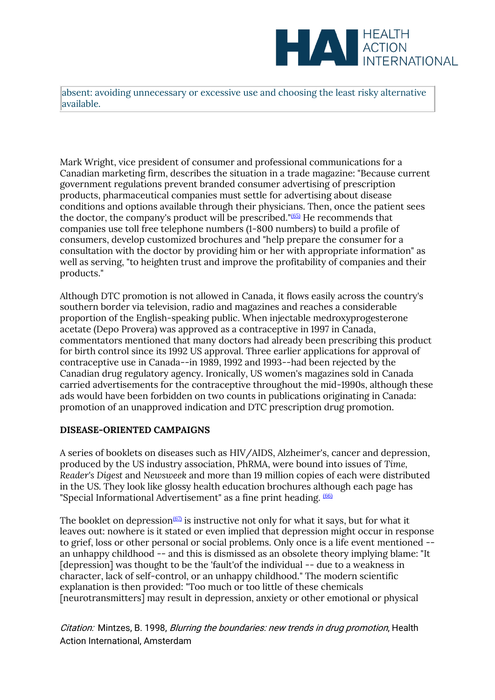

absent: avoiding unnecessary or excessive use and choosing the least risky alternative available.

Mark Wright, vice president of consumer and professional communications for a Canadian marketing firm, describes the situation in a trade magazine: "Because current government regulations prevent branded consumer advertising of prescription products, pharmaceutical companies must settle for advertising about disease conditions and options available through their physicians. Then, once the patient sees the doctor, the company's product will be prescribed."[\(65\)](file:///C:/Users/Dimity/OneDrive%20-%20HAI/Reports,%20papers/Blurring/blurring.ch1.html%23N_65_) He recommends that companies use toll free telephone numbers (1-800 numbers) to build a profile of consumers, develop customized brochures and "help prepare the consumer for a consultation with the doctor by providing him or her with appropriate information" as well as serving, "to heighten trust and improve the profitability of companies and their products."

Although DTC promotion is not allowed in Canada, it flows easily across the country's southern border via television, radio and magazines and reaches a considerable proportion of the English-speaking public. When injectable medroxyprogesterone acetate (Depo Provera) was approved as a contraceptive in 1997 in Canada, commentators mentioned that many doctors had already been prescribing this product for birth control since its 1992 US approval. Three earlier applications for approval of contraceptive use in Canada--in 1989, 1992 and 1993--had been rejected by the Canadian drug regulatory agency. Ironically, US women's magazines sold in Canada carried advertisements for the contraceptive throughout the mid-1990s, although these ads would have been forbidden on two counts in publications originating in Canada: promotion of an unapproved indication and DTC prescription drug promotion.

#### **DISEASE-ORIENTED CAMPAIGNS**

A series of booklets on diseases such as HIV/AIDS, Alzheimer's, cancer and depression, produced by the US industry association, PhRMA, were bound into issues of *Time, Reader's Digest* and *Newsweek* and more than 19 million copies of each were distributed in the US. They look like glossy health education brochures although each page has "Special Informational Advertisement" as a fine print heading.  $(66)$ 

The booklet on depression  $(67)$  is instructive not only for what it says, but for what it leaves out: nowhere is it stated or even implied that depression might occur in response to grief, loss or other personal or social problems. Only once is a life event mentioned - an unhappy childhood -- and this is dismissed as an obsolete theory implying blame: "It [depression] was thought to be the 'fault'of the individual -- due to a weakness in character, lack of self-control, or an unhappy childhood." The modern scientific explanation is then provided: "Too much or too little of these chemicals [neurotransmitters] may result in depression, anxiety or other emotional or physical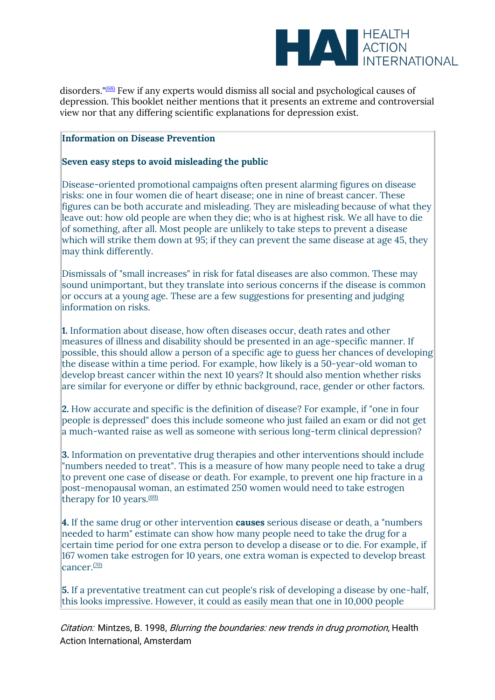

disorders." $(68)$  Few if any experts would dismiss all social and psychological causes of depression. This booklet neither mentions that it presents an extreme and controversial view nor that any differing scientific explanations for depression exist.

#### **Information on Disease Prevention**

### **Seven easy steps to avoid misleading the public**

Disease-oriented promotional campaigns often present alarming figures on disease risks: one in four women die of heart disease; one in nine of breast cancer. These figures can be both accurate and misleading. They are misleading because of what they leave out: how old people are when they die; who is at highest risk. We all have to die of something, after all. Most people are unlikely to take steps to prevent a disease which will strike them down at 95; if they can prevent the same disease at age 45, they may think differently.

Dismissals of "small increases" in risk for fatal diseases are also common. These may sound unimportant, but they translate into serious concerns if the disease is common or occurs at a young age. These are a few suggestions for presenting and judging information on risks.

**1.** Information about disease, how often diseases occur, death rates and other measures of illness and disability should be presented in an age-specific manner. If possible, this should allow a person of a specific age to guess her chances of developing the disease within a time period. For example, how likely is a 50-year-old woman to develop breast cancer within the next 10 years? It should also mention whether risks are similar for everyone or differ by ethnic background, race, gender or other factors.

**2.** How accurate and specific is the definition of disease? For example, if "one in four people is depressed" does this include someone who just failed an exam or did not get a much-wanted raise as well as someone with serious long-term clinical depression?

**3.** Information on preventative drug therapies and other interventions should include "numbers needed to treat". This is a measure of how many people need to take a drug to prevent one case of disease or death. For example, to prevent one hip fracture in a post-menopausal woman, an estimated 250 women would need to take estrogen therapy for 10 years. $(69)$ 

**4.** If the same drug or other intervention **causes** serious disease or death, a "numbers needed to harm" estimate can show how many people need to take the drug for a certain time period for one extra person to develop a disease or to die. For example, if 167 women take estrogen for 10 years, one extra woman is expected to develop breast cancer<sup>[\(70\)](file:///C:/Users/Dimity/OneDrive%20-%20HAI/Reports,%20papers/Blurring/blurring.ch1.html%23N_70_)</sup>

**5.** If a preventative treatment can cut people's risk of developing a disease by one-half, this looks impressive. However, it could as easily mean that one in 10,000 people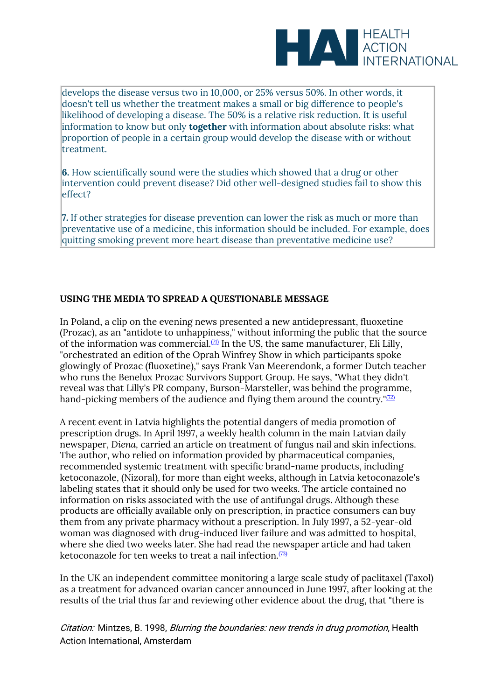

develops the disease versus two in 10,000, or 25% versus 50%. In other words, it doesn't tell us whether the treatment makes a small or big difference to people's likelihood of developing a disease. The 50% is a relative risk reduction. It is useful information to know but only **together** with information about absolute risks: what proportion of people in a certain group would develop the disease with or without treatment.

**6.** How scientifically sound were the studies which showed that a drug or other intervention could prevent disease? Did other well-designed studies fail to show this effect?

**7.** If other strategies for disease prevention can lower the risk as much or more than preventative use of a medicine, this information should be included. For example, does quitting smoking prevent more heart disease than preventative medicine use?

# **USING THE MEDIA TO SPREAD A QUESTIONABLE MESSAGE**

In Poland, a clip on the evening news presented a new antidepressant, fluoxetine (Prozac), as an "antidote to unhappiness," without informing the public that the source of the information was commercial. $(21)$  In the US, the same manufacturer, Eli Lilly, "orchestrated an edition of the Oprah Winfrey Show in which participants spoke glowingly of Prozac (fluoxetine)," says Frank Van Meerendonk, a former Dutch teacher who runs the Benelux Prozac Survivors Support Group. He says, "What they didn't reveal was that Lilly's PR company, Burson-Marsteller, was behind the programme, hand-picking members of the audience and flying them around the country." $(T2)$ 

A recent event in Latvia highlights the potential dangers of media promotion of prescription drugs. In April 1997, a weekly health column in the main Latvian daily newspaper, *Diena,* carried an article on treatment of fungus nail and skin infections. The author, who relied on information provided by pharmaceutical companies, recommended systemic treatment with specific brand-name products, including ketoconazole, (Nizoral), for more than eight weeks, although in Latvia ketoconazole's labeling states that it should only be used for two weeks. The article contained no information on risks associated with the use of antifungal drugs. Although these products are officially available only on prescription, in practice consumers can buy them from any private pharmacy without a prescription. In July 1997, a 52-year-old woman was diagnosed with drug-induced liver failure and was admitted to hospital, where she died two weeks later. She had read the newspaper article and had taken ketoconazole for ten weeks to treat a nail infection.<sup> $(73)$ </sup>

In the UK an independent committee monitoring a large scale study of paclitaxel (Taxol) as a treatment for advanced ovarian cancer announced in June 1997, after looking at the results of the trial thus far and reviewing other evidence about the drug, that "there is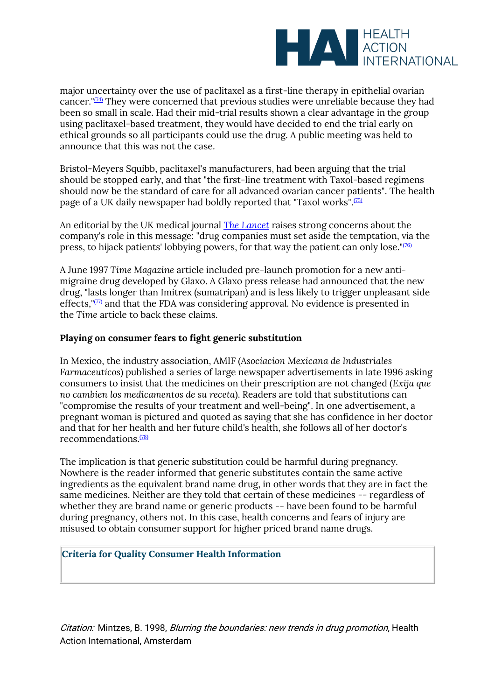

major uncertainty over the use of paclitaxel as a first-line therapy in epithelial ovarian cancer."<sup>[\(74\)](file:///C:/Users/Dimity/OneDrive%20-%20HAI/Reports,%20papers/Blurring/blurring.ch1.html%23N_74_)</sup> They were concerned that previous studies were unreliable because they had been so small in scale. Had their mid-trial results shown a clear advantage in the group using paclitaxel-based treatment, they would have decided to end the trial early on ethical grounds so all participants could use the drug. A public meeting was held to announce that this was not the case.

Bristol-Meyers Squibb, paclitaxel's manufacturers, had been arguing that the trial should be stopped early, and that "the first-line treatment with Taxol-based regimens should now be the standard of care for all advanced ovarian cancer patients". The health page of a UK daily newspaper had boldly reported that "Taxol works".<sup>[\(75\)](file:///C:/Users/Dimity/OneDrive%20-%20HAI/Reports,%20papers/Blurring/blurring.ch1.html%23N_75_)</sup>

An editorial by the UK medical journal *[The Lancet](http://www.thelancet.com/)* raises strong concerns about the company's role in this message: "drug companies must set aside the temptation, via the press, to hijack patients' lobbying powers, for that way the patient can only lose."[\(76\)](file:///C:/Users/Dimity/OneDrive%20-%20HAI/Reports,%20papers/Blurring/blurring.ch1.html%23N_76_)

A June 1997 *Time Magazine* article included pre-launch promotion for a new antimigraine drug developed by Glaxo. A Glaxo press release had announced that the new drug, "lasts longer than Imitrex (sumatripan) and is less likely to trigger unpleasant side effects," $\mathbb{Z}$  and that the FDA was considering approval. No evidence is presented in the *Time* article to back these claims.

# **Playing on consumer fears to fight generic substitution**

In Mexico, the industry association, AMIF (*Asociacion Mexicana de Industriales Farmaceuticos*) published a series of large newspaper advertisements in late 1996 asking consumers to insist that the medicines on their prescription are not changed (*Exija que no cambien los medicamentos de su receta*). Readers are told that substitutions can "compromise the results of your treatment and well-being". In one advertisement, a pregnant woman is pictured and quoted as saying that she has confidence in her doctor and that for her health and her future child's health, she follows all of her doctor's recommendations.[\(78\)](file:///C:/Users/Dimity/OneDrive%20-%20HAI/Reports,%20papers/Blurring/blurring.ch1.html%23N_78_)

The implication is that generic substitution could be harmful during pregnancy. Nowhere is the reader informed that generic substitutes contain the same active ingredients as the equivalent brand name drug, in other words that they are in fact the same medicines. Neither are they told that certain of these medicines -- regardless of whether they are brand name or generic products -- have been found to be harmful during pregnancy, others not. In this case, health concerns and fears of injury are misused to obtain consumer support for higher priced brand name drugs.

#### **Criteria for Quality Consumer Health Information**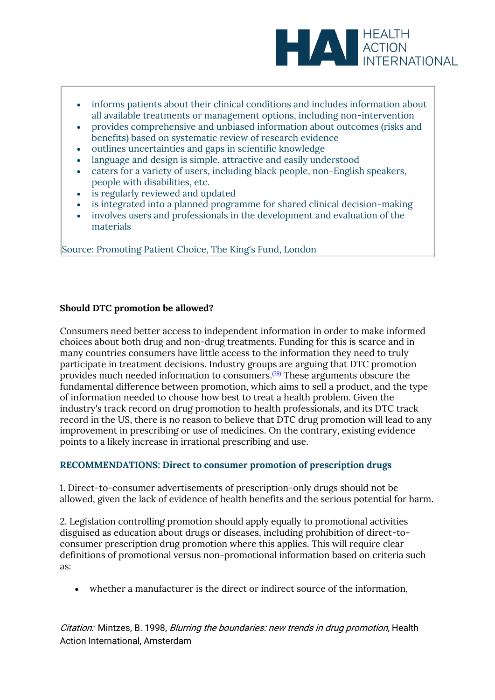

- informs patients about their clinical conditions and includes information about all available treatments or management options, including non-intervention
- provides comprehensive and unbiased information about outcomes (risks and benefits) based on systematic review of research evidence
- outlines uncertainties and gaps in scientific knowledge
- language and design is simple, attractive and easily understood
- caters for a variety of users, including black people, non-English speakers, people with disabilities, etc.
- is regularly reviewed and updated
- is integrated into a planned programme for shared clinical decision-making
- involves users and professionals in the development and evaluation of the materials

Source: Promoting Patient Choice, The King's Fund, London

### **Should DTC promotion be allowed?**

Consumers need better access to independent information in order to make informed choices about both drug and non-drug treatments. Funding for this is scarce and in many countries consumers have little access to the information they need to truly participate in treatment decisions. Industry groups are arguing that DTC promotion provides much needed information to consumers.[\(79\)](file:///C:/Users/Dimity/OneDrive%20-%20HAI/Reports,%20papers/Blurring/blurring.ch1.html%23N_79_) These arguments obscure the fundamental difference between promotion, which aims to sell a product, and the type of information needed to choose how best to treat a health problem. Given the industry's track record on drug promotion to health professionals, and its DTC track record in the US, there is no reason to believe that DTC drug promotion will lead to any improvement in prescribing or use of medicines. On the contrary, existing evidence points to a likely increase in irrational prescribing and use.

#### **RECOMMENDATIONS: Direct to consumer promotion of prescription drugs**

1. Direct-to-consumer advertisements of prescription-only drugs should not be allowed, given the lack of evidence of health benefits and the serious potential for harm.

2. Legislation controlling promotion should apply equally to promotional activities disguised as education about drugs or diseases, including prohibition of direct-toconsumer prescription drug promotion where this applies. This will require clear definitions of promotional versus non-promotional information based on criteria such as:

• whether a manufacturer is the direct or indirect source of the information,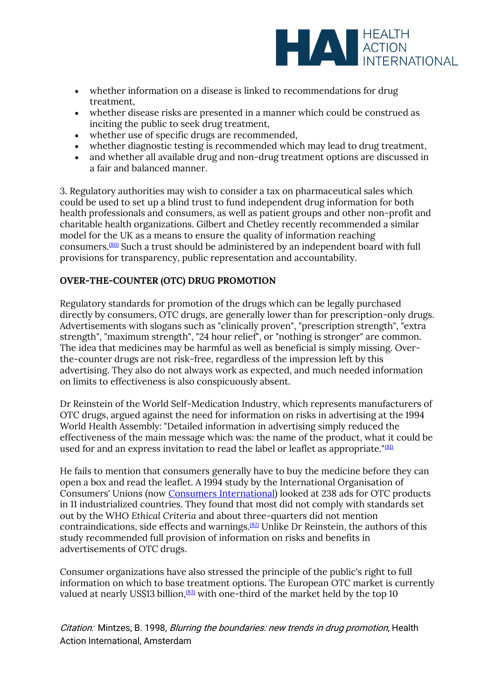

- whether information on a disease is linked to recommendations for drug treatment,
- whether disease risks are presented in a manner which could be construed as inciting the public to seek drug treatment,
- whether use of specific drugs are recommended,
- whether diagnostic testing is recommended which may lead to drug treatment,
- and whether all available drug and non-drug treatment options are discussed in a fair and balanced manner.

3. Regulatory authorities may wish to consider a tax on pharmaceutical sales which could be used to set up a blind trust to fund independent drug information for both health professionals and consumers, as well as patient groups and other non-profit and charitable health organizations. Gilbert and Chetley recently recommended a similar model for the UK as a means to ensure the quality of information reaching consumers.[\(80\)](file:///C:/Users/Dimity/OneDrive%20-%20HAI/Reports,%20papers/Blurring/blurring.ch1.html%23N_80_) Such a trust should be administered by an independent board with full provisions for transparency, public representation and accountability.

# **OVER-THE-COUNTER (OTC) DRUG PROMOTION**

Regulatory standards for promotion of the drugs which can be legally purchased directly by consumers, OTC drugs, are generally lower than for prescription-only drugs. Advertisements with slogans such as "clinically proven", "prescription strength", "extra strength", "maximum strength", "24 hour relief", or "nothing is stronger" are common. The idea that medicines may be harmful as well as beneficial is simply missing. Overthe-counter drugs are not risk-free, regardless of the impression left by this advertising. They also do not always work as expected, and much needed information on limits to effectiveness is also conspicuously absent.

Dr Reinstein of the World Self-Medication Industry, which represents manufacturers of OTC drugs, argued against the need for information on risks in advertising at the 1994 World Health Assembly: "Detailed information in advertising simply reduced the effectiveness of the main message which was: the name of the product, what it could be used for and an express invitation to read the label or leaflet as appropriate."<sup>[\(81\)](file:///C:/Users/Dimity/OneDrive%20-%20HAI/Reports,%20papers/Blurring/blurring.ch1.html%23N_81_)</sup>

He fails to mention that consumers generally have to buy the medicine before they can open a box and read the leaflet. A 1994 study by the International Organisation of Consumers' Unions (now [Consumers International\)](http://www.consumersinternational.org/) looked at 238 ads for OTC products in 11 industrialized countries. They found that most did not comply with standards set out by the WHO *Ethical Criteria* and about three-quarters did not mention contraindications, side effects and warnings.<sup> $(82)$ </sup> Unlike Dr Reinstein, the authors of this study recommended full provision of information on risks and benefits in advertisements of OTC drugs.

Consumer organizations have also stressed the principle of the public's right to full information on which to base treatment options. The European OTC market is currently valued at nearly US\$13 billion, $(83)$  with one-third of the market held by the top 10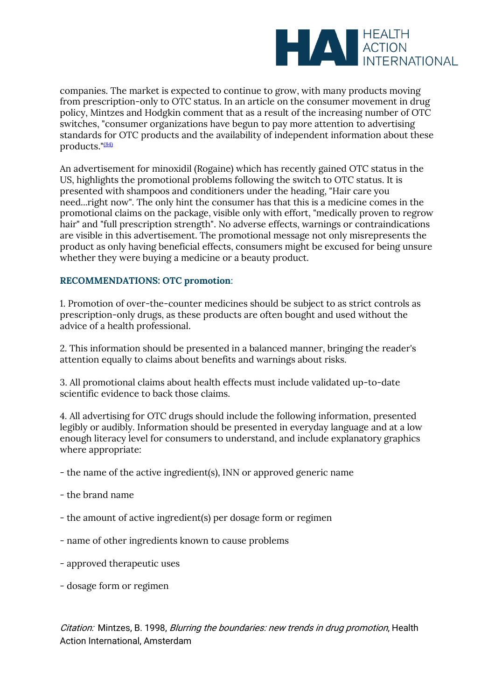

companies. The market is expected to continue to grow, with many products moving from prescription-only to OTC status. In an article on the consumer movement in drug policy, Mintzes and Hodgkin comment that as a result of the increasing number of OTC switches, "consumer organizations have begun to pay more attention to advertising standards for OTC products and the availability of independent information about these products."[\(84\)](file:///C:/Users/Dimity/OneDrive%20-%20HAI/Reports,%20papers/Blurring/blurring.ch1.html%23N_84_)

An advertisement for minoxidil (Rogaine) which has recently gained OTC status in the US, highlights the promotional problems following the switch to OTC status. It is presented with shampoos and conditioners under the heading, "Hair care you need...right now". The only hint the consumer has that this is a medicine comes in the promotional claims on the package, visible only with effort, "medically proven to regrow hair" and "full prescription strength". No adverse effects, warnings or contraindications are visible in this advertisement. The promotional message not only misrepresents the product as only having beneficial effects, consumers might be excused for being unsure whether they were buying a medicine or a beauty product.

#### **RECOMMENDATIONS: OTC promotion**:

1. Promotion of over-the-counter medicines should be subject to as strict controls as prescription-only drugs, as these products are often bought and used without the advice of a health professional.

2. This information should be presented in a balanced manner, bringing the reader's attention equally to claims about benefits and warnings about risks.

3. All promotional claims about health effects must include validated up-to-date scientific evidence to back those claims.

4. All advertising for OTC drugs should include the following information, presented legibly or audibly. Information should be presented in everyday language and at a low enough literacy level for consumers to understand, and include explanatory graphics where appropriate:

- the name of the active ingredient(s), INN or approved generic name

- the brand name
- the amount of active ingredient(s) per dosage form or regimen
- name of other ingredients known to cause problems
- approved therapeutic uses
- dosage form or regimen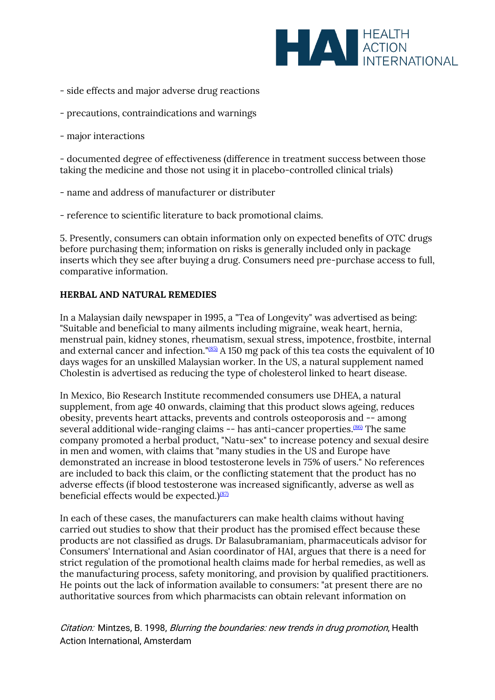

- side effects and major adverse drug reactions
- precautions, contraindications and warnings

- major interactions

- documented degree of effectiveness (difference in treatment success between those taking the medicine and those not using it in placebo-controlled clinical trials)

- name and address of manufacturer or distributer
- reference to scientific literature to back promotional claims.

5. Presently, consumers can obtain information only on expected benefits of OTC drugs before purchasing them; information on risks is generally included only in package inserts which they see after buying a drug. Consumers need pre-purchase access to full, comparative information.

### **HERBAL AND NATURAL REMEDIES**

In a Malaysian daily newspaper in 1995, a "Tea of Longevity" was advertised as being: "Suitable and beneficial to many ailments including migraine, weak heart, hernia, menstrual pain, kidney stones, rheumatism, sexual stress, impotence, frostbite, internal and external cancer and infection."<sup>[\(85\)](file:///C:/Users/Dimity/OneDrive%20-%20HAI/Reports,%20papers/Blurring/blurring.ch1.html%23N_85_)</sup> A 150 mg pack of this tea costs the equivalent of 10 days wages for an unskilled Malaysian worker. In the US, a natural supplement named Cholestin is advertised as reducing the type of cholesterol linked to heart disease.

In Mexico, Bio Research Institute recommended consumers use DHEA, a natural supplement, from age 40 onwards, claiming that this product slows ageing, reduces obesity, prevents heart attacks, prevents and controls osteoporosis and -- among several additional wide-ranging claims -- has anti-cancer properties.<sup>[\(86\)](file:///C:/Users/Dimity/OneDrive%20-%20HAI/Reports,%20papers/Blurring/blurring.ch1.html%23N_86_)</sup> The same company promoted a herbal product, "Natu-sex" to increase potency and sexual desire in men and women, with claims that "many studies in the US and Europe have demonstrated an increase in blood testosterone levels in 75% of users." No references are included to back this claim, or the conflicting statement that the product has no adverse effects (if blood testosterone was increased significantly, adverse as well as beneficial effects would be expected.) $(87)$ 

In each of these cases, the manufacturers can make health claims without having carried out studies to show that their product has the promised effect because these products are not classified as drugs. Dr Balasubramaniam, pharmaceuticals advisor for Consumers' International and Asian coordinator of HAI, argues that there is a need for strict regulation of the promotional health claims made for herbal remedies, as well as the manufacturing process, safety monitoring, and provision by qualified practitioners. He points out the lack of information available to consumers: "at present there are no authoritative sources from which pharmacists can obtain relevant information on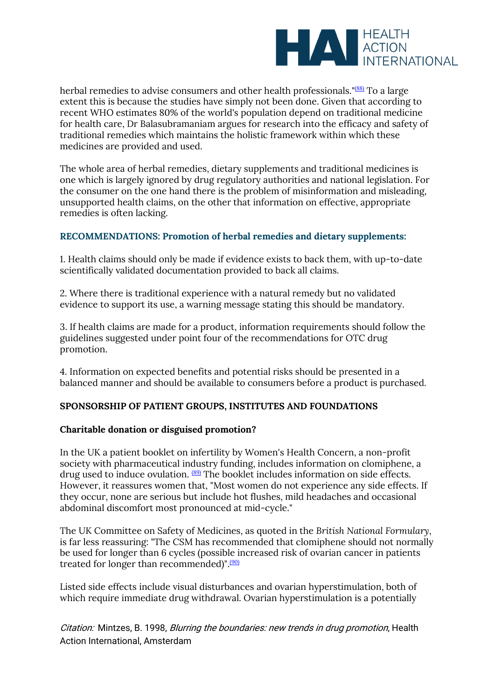

herbal remedies to advise consumers and other health professionals."<sup>[\(88\)](file:///C:/Users/Dimity/OneDrive%20-%20HAI/Reports,%20papers/Blurring/blurring.ch1.html%23N_88_)</sup> To a large extent this is because the studies have simply not been done. Given that according to recent WHO estimates 80% of the world's population depend on traditional medicine for health care, Dr Balasubramaniam argues for research into the efficacy and safety of traditional remedies which maintains the holistic framework within which these medicines are provided and used.

The whole area of herbal remedies, dietary supplements and traditional medicines is one which is largely ignored by drug regulatory authorities and national legislation. For the consumer on the one hand there is the problem of misinformation and misleading, unsupported health claims, on the other that information on effective, appropriate remedies is often lacking.

### **RECOMMENDATIONS: Promotion of herbal remedies and dietary supplements:**

1. Health claims should only be made if evidence exists to back them, with up-to-date scientifically validated documentation provided to back all claims.

2. Where there is traditional experience with a natural remedy but no validated evidence to support its use, a warning message stating this should be mandatory.

3. If health claims are made for a product, information requirements should follow the guidelines suggested under point four of the recommendations for OTC drug promotion.

4. Information on expected benefits and potential risks should be presented in a balanced manner and should be available to consumers before a product is purchased.

#### **SPONSORSHIP OF PATIENT GROUPS, INSTITUTES AND FOUNDATIONS**

#### **Charitable donation or disguised promotion?**

In the UK a patient booklet on infertility by Women's Health Concern, a non-profit society with pharmaceutical industry funding, includes information on clomiphene, a drug used to induce ovulation. [\(89\)](file:///C:/Users/Dimity/OneDrive%20-%20HAI/Reports,%20papers/Blurring/blurring.ch1.html%23N_89_) The booklet includes information on side effects. However, it reassures women that, "Most women do not experience any side effects. If they occur, none are serious but include hot flushes, mild headaches and occasional abdominal discomfort most pronounced at mid-cycle."

The UK Committee on Safety of Medicines, as quoted in the *British National Formulary*, is far less reassuring: "The CSM has recommended that clomiphene should not normally be used for longer than 6 cycles (possible increased risk of ovarian cancer in patients treated for longer than recommended)". $(90)$ 

Listed side effects include visual disturbances and ovarian hyperstimulation, both of which require immediate drug withdrawal. Ovarian hyperstimulation is a potentially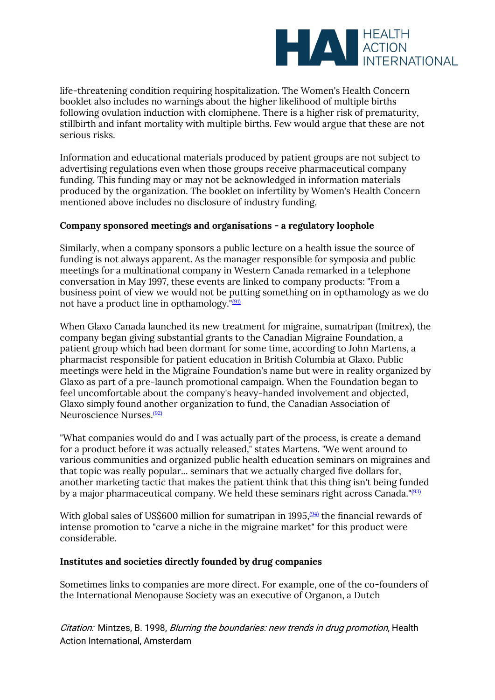

life-threatening condition requiring hospitalization. The Women's Health Concern booklet also includes no warnings about the higher likelihood of multiple births following ovulation induction with clomiphene. There is a higher risk of prematurity, stillbirth and infant mortality with multiple births. Few would argue that these are not serious risks.

Information and educational materials produced by patient groups are not subject to advertising regulations even when those groups receive pharmaceutical company funding. This funding may or may not be acknowledged in information materials produced by the organization. The booklet on infertility by Women's Health Concern mentioned above includes no disclosure of industry funding.

### **Company sponsored meetings and organisations - a regulatory loophole**

Similarly, when a company sponsors a public lecture on a health issue the source of funding is not always apparent. As the manager responsible for symposia and public meetings for a multinational company in Western Canada remarked in a telephone conversation in May 1997, these events are linked to company products: "From a business point of view we would not be putting something on in opthamology as we do not have a product line in opthamology."[\(91\)](file:///C:/Users/Dimity/OneDrive%20-%20HAI/Reports,%20papers/Blurring/blurring.ch1.html%23N_91_)

When Glaxo Canada launched its new treatment for migraine, sumatripan (Imitrex), the company began giving substantial grants to the Canadian Migraine Foundation, a patient group which had been dormant for some time, according to John Martens, a pharmacist responsible for patient education in British Columbia at Glaxo. Public meetings were held in the Migraine Foundation's name but were in reality organized by Glaxo as part of a pre-launch promotional campaign. When the Foundation began to feel uncomfortable about the company's heavy-handed involvement and objected, Glaxo simply found another organization to fund, the Canadian Association of Neuroscience Nurses.[\(92\)](file:///C:/Users/Dimity/OneDrive%20-%20HAI/Reports,%20papers/Blurring/blurring.ch1.html%23N_92_)

"What companies would do and I was actually part of the process, is create a demand for a product before it was actually released," states Martens. "We went around to various communities and organized public health education seminars on migraines and that topic was really popular... seminars that we actually charged five dollars for, another marketing tactic that makes the patient think that this thing isn't being funded by a major pharmaceutical company. We held these seminars right across Canada."<sup>[\(93\)](file:///C:/Users/Dimity/OneDrive%20-%20HAI/Reports,%20papers/Blurring/blurring.ch1.html%23N_93_)</sup>

With global sales of US\$600 million for sumatripan in 1995, $\frac{(94)}{94}$  $\frac{(94)}{94}$  $\frac{(94)}{94}$  the financial rewards of intense promotion to "carve a niche in the migraine market" for this product were considerable.

#### **Institutes and societies directly founded by drug companies**

Sometimes links to companies are more direct. For example, one of the co-founders of the International Menopause Society was an executive of Organon, a Dutch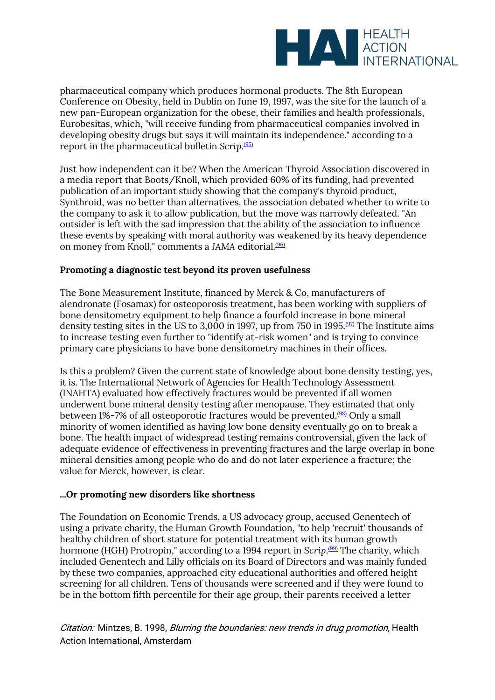

pharmaceutical company which produces hormonal products. The 8th European Conference on Obesity, held in Dublin on June 19, 1997, was the site for the launch of a new pan-European organization for the obese, their families and health professionals, Eurobesitas, which, "will receive funding from pharmaceutical companies involved in developing obesity drugs but says it will maintain its independence." according to a report in the pharmaceutical bulletin *Scrip*. [\(95\)](file:///C:/Users/Dimity/OneDrive%20-%20HAI/Reports,%20papers/Blurring/blurring.ch1.html%23N_95_)

Just how independent can it be? When the American Thyroid Association discovered in a media report that Boots/Knoll, which provided 60% of its funding, had prevented publication of an important study showing that the company's thyroid product, Synthroid, was no better than alternatives, the association debated whether to write to the company to ask it to allow publication, but the move was narrowly defeated. "An outsider is left with the sad impression that the ability of the association to influence these events by speaking with moral authority was weakened by its heavy dependence on money from Knoll," comments a JAMA editorial.<sup>[\(96\)](file:///C:/Users/Dimity/OneDrive%20-%20HAI/Reports,%20papers/Blurring/blurring.ch1.html%23N_96_)</sup>

### **Promoting a diagnostic test beyond its proven usefulness**

The Bone Measurement Institute, financed by Merck & Co, manufacturers of alendronate (Fosamax) for osteoporosis treatment, has been working with suppliers of bone densitometry equipment to help finance a fourfold increase in bone mineral density testing sites in the US to 3,000 in 1997, up from 750 in 1995.<sup> $(97)$ </sup> The Institute aims to increase testing even further to "identify at-risk women" and is trying to convince primary care physicians to have bone densitometry machines in their offices.

Is this a problem? Given the current state of knowledge about bone density testing, yes, it is. The International Network of Agencies for Health Technology Assessment (INAHTA) evaluated how effectively fractures would be prevented if all women underwent bone mineral density testing after menopause. They estimated that only between 1%-7% of all osteoporotic fractures would be prevented.<sup>[\(98\)](file:///C:/Users/Dimity/OneDrive%20-%20HAI/Reports,%20papers/Blurring/blurring.ch1.html%23N_98_)</sup> Only a small minority of women identified as having low bone density eventually go on to break a bone. The health impact of widespread testing remains controversial, given the lack of adequate evidence of effectiveness in preventing fractures and the large overlap in bone mineral densities among people who do and do not later experience a fracture; the value for Merck, however, is clear.

#### **...Or promoting new disorders like shortness**

The Foundation on Economic Trends, a US advocacy group, accused Genentech of using a private charity, the Human Growth Foundation, "to help 'recruit' thousands of healthy children of short stature for potential treatment with its human growth hormone (HGH) Protropin," according to a 1994 report in Scrip.<sup>[\(99\)](file:///C:/Users/Dimity/OneDrive%20-%20HAI/Reports,%20papers/Blurring/blurring.ch1.html%23N_99_)</sup> The charity, which included Genentech and Lilly officials on its Board of Directors and was mainly funded by these two companies, approached city educational authorities and offered height screening for all children. Tens of thousands were screened and if they were found to be in the bottom fifth percentile for their age group, their parents received a letter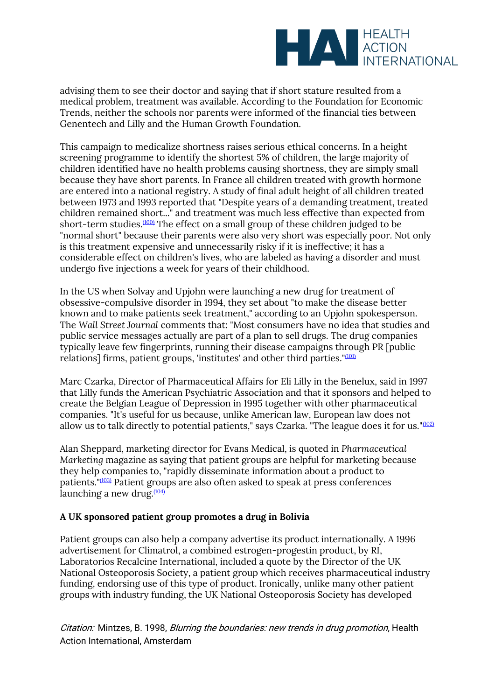

advising them to see their doctor and saying that if short stature resulted from a medical problem, treatment was available. According to the Foundation for Economic Trends, neither the schools nor parents were informed of the financial ties between Genentech and Lilly and the Human Growth Foundation.

This campaign to medicalize shortness raises serious ethical concerns. In a height screening programme to identify the shortest 5% of children, the large majority of children identified have no health problems causing shortness, they are simply small because they have short parents. In France all children treated with growth hormone are entered into a national registry. A study of final adult height of all children treated between 1973 and 1993 reported that "Despite years of a demanding treatment, treated children remained short..." and treatment was much less effective than expected from short-term studies.<sup>[\(100\)](file:///C:/Users/Dimity/OneDrive%20-%20HAI/Reports,%20papers/Blurring/blurring.ch1.html%23N_100_)</sup> The effect on a small group of these children judged to be "normal short" because their parents were also very short was especially poor. Not only is this treatment expensive and unnecessarily risky if it is ineffective; it has a considerable effect on children's lives, who are labeled as having a disorder and must undergo five injections a week for years of their childhood.

In the US when Solvay and Upjohn were launching a new drug for treatment of obsessive-compulsive disorder in 1994, they set about "to make the disease better known and to make patients seek treatment," according to an Upjohn spokesperson. The *Wall Street Journal* comments that: "Most consumers have no idea that studies and public service messages actually are part of a plan to sell drugs. The drug companies typically leave few fingerprints, running their disease campaigns through PR [public relations] firms, patient groups, 'institutes' and other third parties."[\(101\)](file:///C:/Users/Dimity/OneDrive%20-%20HAI/Reports,%20papers/Blurring/blurring.ch1.html%23N_101_)

Marc Czarka, Director of Pharmaceutical Affairs for Eli Lilly in the Benelux, said in 1997 that Lilly funds the American Psychiatric Association and that it sponsors and helped to create the Belgian League of Depression in 1995 together with other pharmaceutical companies. "It's useful for us because, unlike American law, European law does not allow us to talk directly to potential patients," says Czarka. "The league does it for us." $(102)$ 

Alan Sheppard, marketing director for Evans Medical, is quoted in *Pharmaceutical Marketing* magazine as saying that patient groups are helpful for marketing because they help companies to, "rapidly disseminate information about a product to patients."[\(103\)](file:///C:/Users/Dimity/OneDrive%20-%20HAI/Reports,%20papers/Blurring/blurring.ch1.html%23N_103_) Patient groups are also often asked to speak at press conferences launching a new drug. $(104)$ 

# **A UK sponsored patient group promotes a drug in Bolivia**

Patient groups can also help a company advertise its product internationally. A 1996 advertisement for Climatrol, a combined estrogen-progestin product, by RI, Laboratorios Recalcine International, included a quote by the Director of the UK National Osteoporosis Society, a patient group which receives pharmaceutical industry funding, endorsing use of this type of product. Ironically, unlike many other patient groups with industry funding, the UK National Osteoporosis Society has developed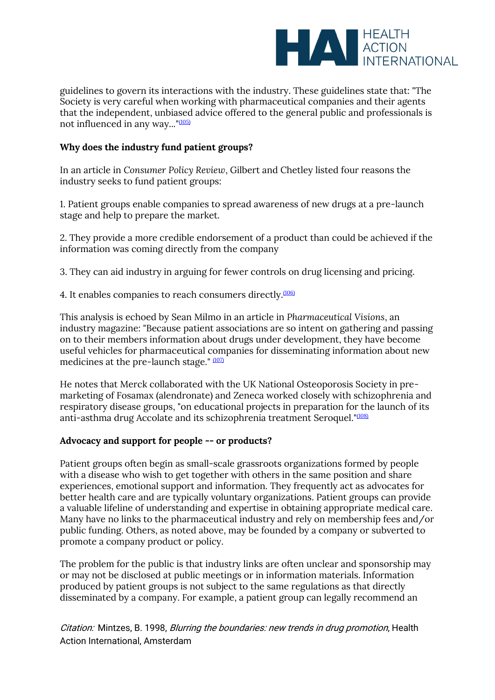

guidelines to govern its interactions with the industry. These guidelines state that: "The Society is very careful when working with pharmaceutical companies and their agents that the independent, unbiased advice offered to the general public and professionals is not influenced in any way..."[\(105\)](file:///C:/Users/Dimity/OneDrive%20-%20HAI/Reports,%20papers/Blurring/blurring.ch1.html%23N_105_)

# **Why does the industry fund patient groups?**

In an article in *Consumer Policy Review*, Gilbert and Chetley listed four reasons the industry seeks to fund patient groups:

1. Patient groups enable companies to spread awareness of new drugs at a pre-launch stage and help to prepare the market.

2. They provide a more credible endorsement of a product than could be achieved if the information was coming directly from the company

3. They can aid industry in arguing for fewer controls on drug licensing and pricing.

4. It enables companies to reach consumers directly.<sup>[\(106\)](file:///C:/Users/Dimity/OneDrive%20-%20HAI/Reports,%20papers/Blurring/blurring.ch1.html%23N_106_)</sup>

This analysis is echoed by Sean Milmo in an article in *Pharmaceutical Visions*, an industry magazine: "Because patient associations are so intent on gathering and passing on to their members information about drugs under development, they have become useful vehicles for pharmaceutical companies for disseminating information about new medicines at the pre-launch stage." [\(107\)](file:///C:/Users/Dimity/OneDrive%20-%20HAI/Reports,%20papers/Blurring/blurring.ch1.html%23N_107_)

He notes that Merck collaborated with the UK National Osteoporosis Society in premarketing of Fosamax (alendronate) and Zeneca worked closely with schizophrenia and respiratory disease groups, "on educational projects in preparation for the launch of its anti-asthma drug Accolate and its schizophrenia treatment Seroquel."<sup>[\(108\)](file:///C:/Users/Dimity/OneDrive%20-%20HAI/Reports,%20papers/Blurring/blurring.ch1.html%23N_108_)</sup>

#### **Advocacy and support for people -- or products?**

Patient groups often begin as small-scale grassroots organizations formed by people with a disease who wish to get together with others in the same position and share experiences, emotional support and information. They frequently act as advocates for better health care and are typically voluntary organizations. Patient groups can provide a valuable lifeline of understanding and expertise in obtaining appropriate medical care. Many have no links to the pharmaceutical industry and rely on membership fees and/or public funding. Others, as noted above, may be founded by a company or subverted to promote a company product or policy.

The problem for the public is that industry links are often unclear and sponsorship may or may not be disclosed at public meetings or in information materials. Information produced by patient groups is not subject to the same regulations as that directly disseminated by a company. For example, a patient group can legally recommend an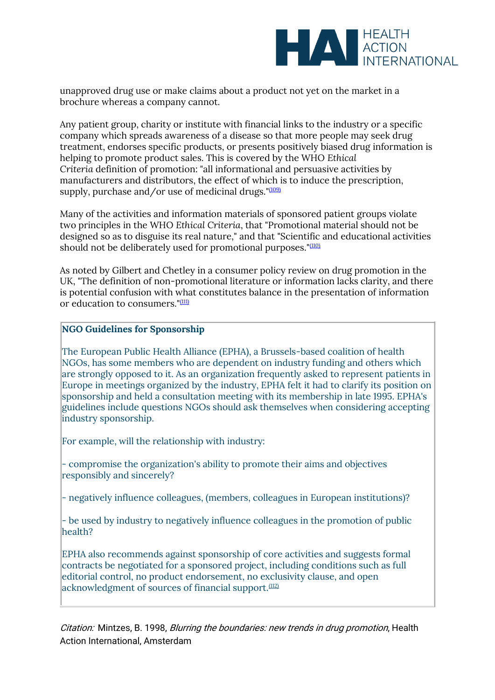

unapproved drug use or make claims about a product not yet on the market in a brochure whereas a company cannot.

Any patient group, charity or institute with financial links to the industry or a specific company which spreads awareness of a disease so that more people may seek drug treatment, endorses specific products, or presents positively biased drug information is helping to promote product sales. This is covered by the WHO *Ethical Criteria* definition of promotion: "all informational and persuasive activities by manufacturers and distributors, the effect of which is to induce the prescription, supply, purchase and/or use of medicinal drugs."[\(109\)](file:///C:/Users/Dimity/OneDrive%20-%20HAI/Reports,%20papers/Blurring/blurring.ch1.html%23N_109_)

Many of the activities and information materials of sponsored patient groups violate two principles in the WHO *Ethical Criteria*, that "Promotional material should not be designed so as to disguise its real nature," and that "Scientific and educational activities should not be deliberately used for promotional purposes." $(110)$ 

As noted by Gilbert and Chetley in a consumer policy review on drug promotion in the UK, "The definition of non-promotional literature or information lacks clarity, and there is potential confusion with what constitutes balance in the presentation of information or education to consumers."[\(111\)](file:///C:/Users/Dimity/OneDrive%20-%20HAI/Reports,%20papers/Blurring/blurring.ch1.html%23N_111_)

#### **NGO Guidelines for Sponsorship**

The European Public Health Alliance (EPHA), a Brussels-based coalition of health NGOs, has some members who are dependent on industry funding and others which are strongly opposed to it. As an organization frequently asked to represent patients in Europe in meetings organized by the industry, EPHA felt it had to clarify its position on sponsorship and held a consultation meeting with its membership in late 1995. EPHA's guidelines include questions NGOs should ask themselves when considering accepting industry sponsorship.

For example, will the relationship with industry:

- compromise the organization's ability to promote their aims and objectives responsibly and sincerely?

- negatively influence colleagues, (members, colleagues in European institutions)?

- be used by industry to negatively influence colleagues in the promotion of public health?

EPHA also recommends against sponsorship of core activities and suggests formal contracts be negotiated for a sponsored project, including conditions such as full editorial control, no product endorsement, no exclusivity clause, and open acknowledgment of sources of financial support.<sup>[\(112\)](file:///C:/Users/Dimity/OneDrive%20-%20HAI/Reports,%20papers/Blurring/blurring.ch1.html%23N_112_)</sup>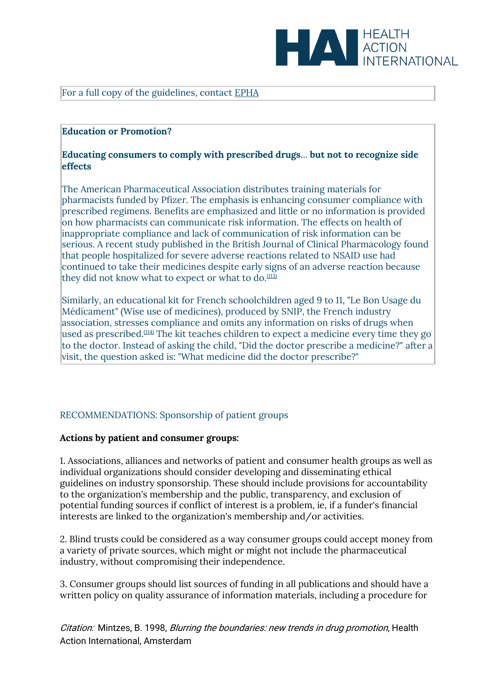

#### For a full copy of the guidelines, contact [EPHA](mailto:%20epha@epha.org)

#### **Education or Promotion?**

#### **Educating consumers to comply with prescribed drugs**... **but not to recognize side effects**

The American Pharmaceutical Association distributes training materials for pharmacists funded by Pfizer. The emphasis is enhancing consumer compliance with prescribed regimens. Benefits are emphasized and little or no information is provided on how pharmacists can communicate risk information. The effects on health of inappropriate compliance and lack of communication of risk information can be serious. A recent study published in the British Journal of Clinical Pharmacology found that people hospitalized for severe adverse reactions related to NSAID use had continued to take their medicines despite early signs of an adverse reaction because they did not know what to expect or what to do.<sup> $(113)$ </sup>

Similarly, an educational kit for French schoolchildren aged 9 to 11, "Le Bon Usage du Médicament" (Wise use of medicines), produced by SNIP, the French industry association, stresses compliance and omits any information on risks of drugs when used as prescribed.<sup>[\(114\)](file:///C:/Users/Dimity/OneDrive%20-%20HAI/Reports,%20papers/Blurring/blurring.ch1.html%23N_114_)</sup> The kit teaches children to expect a medicine every time they go to the doctor. Instead of asking the child, "Did the doctor prescribe a medicine?" after a visit, the question asked is: "What medicine did the doctor prescribe?"

#### RECOMMENDATIONS: Sponsorship of patient groups

#### **Actions by patient and consumer groups:**

1. Associations, alliances and networks of patient and consumer health groups as well as individual organizations should consider developing and disseminating ethical guidelines on industry sponsorship. These should include provisions for accountability to the organization's membership and the public, transparency, and exclusion of potential funding sources if conflict of interest is a problem, ie, if a funder's financial interests are linked to the organization's membership and/or activities.

2. Blind trusts could be considered as a way consumer groups could accept money from a variety of private sources, which might or might not include the pharmaceutical industry, without compromising their independence.

3. Consumer groups should list sources of funding in all publications and should have a written policy on quality assurance of information materials, including a procedure for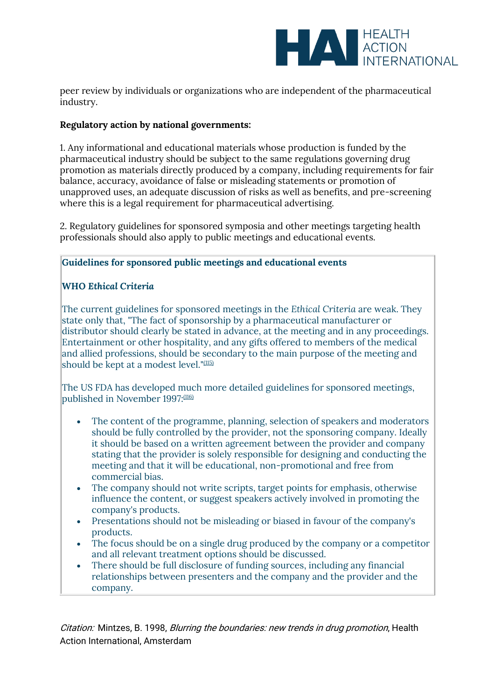

peer review by individuals or organizations who are independent of the pharmaceutical industry.

# **Regulatory action by national governments:**

1. Any informational and educational materials whose production is funded by the pharmaceutical industry should be subject to the same regulations governing drug promotion as materials directly produced by a company, including requirements for fair balance, accuracy, avoidance of false or misleading statements or promotion of unapproved uses, an adequate discussion of risks as well as benefits, and pre-screening where this is a legal requirement for pharmaceutical advertising.

2. Regulatory guidelines for sponsored symposia and other meetings targeting health professionals should also apply to public meetings and educational events.

## **Guidelines for sponsored public meetings and educational events**

# **WHO** *Ethical Criteria*

The current guidelines for sponsored meetings in the *Ethical Criteria* are weak. They state only that, "The fact of sponsorship by a pharmaceutical manufacturer or distributor should clearly be stated in advance, at the meeting and in any proceedings. Entertainment or other hospitality, and any gifts offered to members of the medical and allied professions, should be secondary to the main purpose of the meeting and should be kept at a modest level."<sup>[\(115\)](file:///C:/Users/Dimity/OneDrive%20-%20HAI/Reports,%20papers/Blurring/blurring.ch1.html%23N_115_)</sup>

The US FDA has developed much more detailed guidelines for sponsored meetings, published in November 1997:<sup>[\(116\)](file:///C:/Users/Dimity/OneDrive%20-%20HAI/Reports,%20papers/Blurring/blurring.ch1.html%23N_116_)</sup>

- The content of the programme, planning, selection of speakers and moderators should be fully controlled by the provider, not the sponsoring company. Ideally it should be based on a written agreement between the provider and company stating that the provider is solely responsible for designing and conducting the meeting and that it will be educational, non-promotional and free from commercial bias.
- The company should not write scripts, target points for emphasis, otherwise influence the content, or suggest speakers actively involved in promoting the company's products.
- Presentations should not be misleading or biased in favour of the company's products.
- The focus should be on a single drug produced by the company or a competitor and all relevant treatment options should be discussed.
- There should be full disclosure of funding sources, including any financial relationships between presenters and the company and the provider and the company.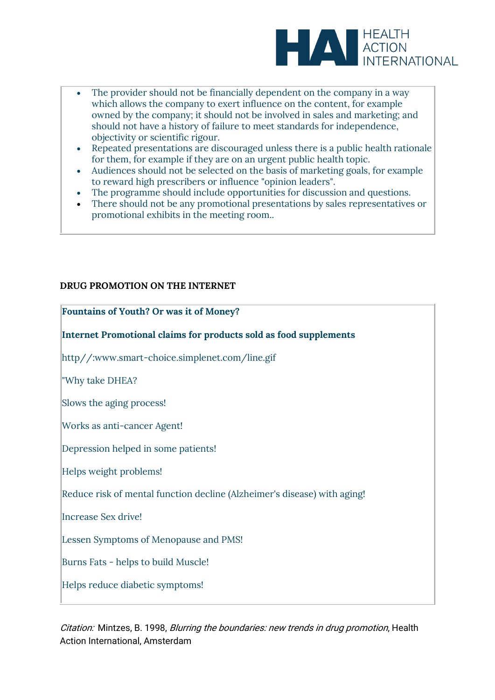

- The provider should not be financially dependent on the company in a way which allows the company to exert influence on the content, for example owned by the company; it should not be involved in sales and marketing; and should not have a history of failure to meet standards for independence, objectivity or scientific rigour.
- Repeated presentations are discouraged unless there is a public health rationale for them, for example if they are on an urgent public health topic.
- Audiences should not be selected on the basis of marketing goals, for example to reward high prescribers or influence "opinion leaders".
- The programme should include opportunities for discussion and questions.
- There should not be any promotional presentations by sales representatives or promotional exhibits in the meeting room..

### **DRUG PROMOTION ON THE INTERNET**

| Fountains of Youth? Or was it of Money?                                  |
|--------------------------------------------------------------------------|
| Internet Promotional claims for products sold as food supplements        |
| http//:www.smart-choice.simplenet.com/line.gif                           |
| "Why take DHEA?                                                          |
| Slows the aging process!                                                 |
| Works as anti-cancer Agent!                                              |
| Depression helped in some patients!                                      |
| Helps weight problems!                                                   |
| Reduce risk of mental function decline (Alzheimer's disease) with aging! |
| Increase Sex drive!                                                      |
| Lessen Symptoms of Menopause and PMS!                                    |
| Burns Fats - helps to build Muscle!                                      |
| Helps reduce diabetic symptoms!                                          |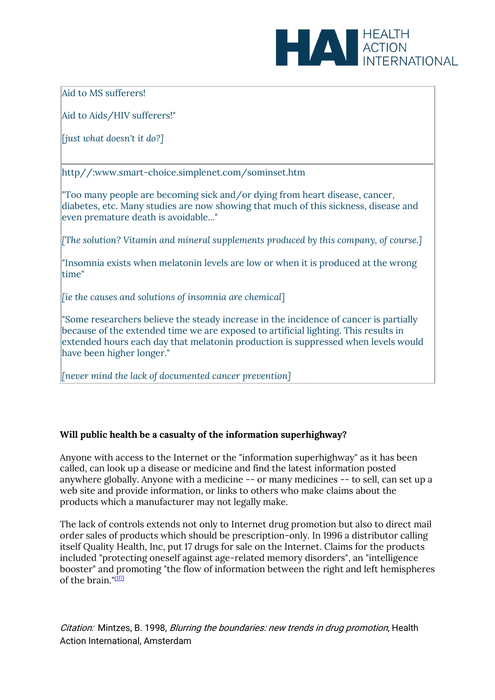

Aid to MS sufferers!

Aid to Aids/HIV sufferers!"

[*just what doesn't it do?]*

http//:www.smart-choice.simplenet.com/sominset.htm

"Too many people are becoming sick and/or dying from heart disease, cancer, diabetes, etc. Many studies are now showing that much of this sickness, disease and even premature death is avoidable..."

*[The solution? Vitamin and mineral supplements produced by this company, of course.]*

"Insomnia exists when melatonin levels are low or when it is produced at the wrong time"

*[ie the causes and solutions of insomnia are chemical*]

"Some researchers believe the steady increase in the incidence of cancer is partially because of the extended time we are exposed to artificial lighting. This results in extended hours each day that melatonin production is suppressed when levels would have been higher longer."

*[never mind the lack of documented cancer prevention]*

# **Will public health be a casualty of the information superhighway?**

Anyone with access to the Internet or the "information superhighway" as it has been called, can look up a disease or medicine and find the latest information posted anywhere globally. Anyone with a medicine -- or many medicines -- to sell, can set up a web site and provide information, or links to others who make claims about the products which a manufacturer may not legally make.

The lack of controls extends not only to Internet drug promotion but also to direct mail order sales of products which should be prescription-only. In 1996 a distributor calling itself Quality Health, Inc, put 17 drugs for sale on the Internet. Claims for the products included "protecting oneself against age-related memory disorders", an "intelligence booster" and promoting "the flow of information between the right and left hemispheres of the brain  $\frac{117}{2}$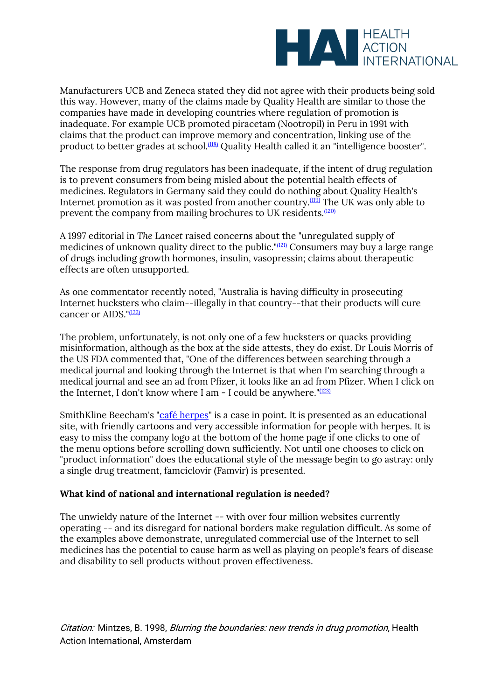

Manufacturers UCB and Zeneca stated they did not agree with their products being sold this way. However, many of the claims made by Quality Health are similar to those the companies have made in developing countries where regulation of promotion is inadequate. For example UCB promoted piracetam (Nootropil) in Peru in 1991 with claims that the product can improve memory and concentration, linking use of the product to better grades at school.<sup>[\(118\)](file:///C:/Users/Dimity/OneDrive%20-%20HAI/Reports,%20papers/Blurring/blurring.ch1.html%23N_118_)</sup> Quality Health called it an "intelligence booster".

The response from drug regulators has been inadequate, if the intent of drug regulation is to prevent consumers from being misled about the potential health effects of medicines. Regulators in Germany said they could do nothing about Quality Health's Internet promotion as it was posted from another country. $(119)$  The UK was only able to prevent the company from mailing brochures to UK residents.<sup>[\(120\)](file:///C:/Users/Dimity/OneDrive%20-%20HAI/Reports,%20papers/Blurring/blurring.ch1.html%23N_120_)</sup>

A 1997 editorial in *The Lancet* raised concerns about the "unregulated supply of medicines of unknown quality direct to the public." $(121)$  Consumers may buy a large range of drugs including growth hormones, insulin, vasopressin; claims about therapeutic effects are often unsupported.

As one commentator recently noted, "Australia is having difficulty in prosecuting Internet hucksters who claim--illegally in that country--that their products will cure cancer or AIDS."<sup>[\(122\)](file:///C:/Users/Dimity/OneDrive%20-%20HAI/Reports,%20papers/Blurring/blurring.ch1.html%23N_122_)</sup>

The problem, unfortunately, is not only one of a few hucksters or quacks providing misinformation, although as the box at the side attests, they do exist. Dr Louis Morris of the US FDA commented that, "One of the differences between searching through a medical journal and looking through the Internet is that when I'm searching through a medical journal and see an ad from Pfizer, it looks like an ad from Pfizer. When I click on the Internet, I don't know where I am - I could be anywhere."[\(123\)](file:///C:/Users/Dimity/OneDrive%20-%20HAI/Reports,%20papers/Blurring/blurring.ch1.html%23N_123_)

SmithKline Beecham's ["café herpes"](http://www.cafeherpe.com/) is a case in point. It is presented as an educational site, with friendly cartoons and very accessible information for people with herpes. It is easy to miss the company logo at the bottom of the home page if one clicks to one of the menu options before scrolling down sufficiently. Not until one chooses to click on "product information" does the educational style of the message begin to go astray: only a single drug treatment, famciclovir (Famvir) is presented.

# **What kind of national and international regulation is needed?**

The unwieldy nature of the Internet -- with over four million websites currently operating -- and its disregard for national borders make regulation difficult. As some of the examples above demonstrate, unregulated commercial use of the Internet to sell medicines has the potential to cause harm as well as playing on people's fears of disease and disability to sell products without proven effectiveness.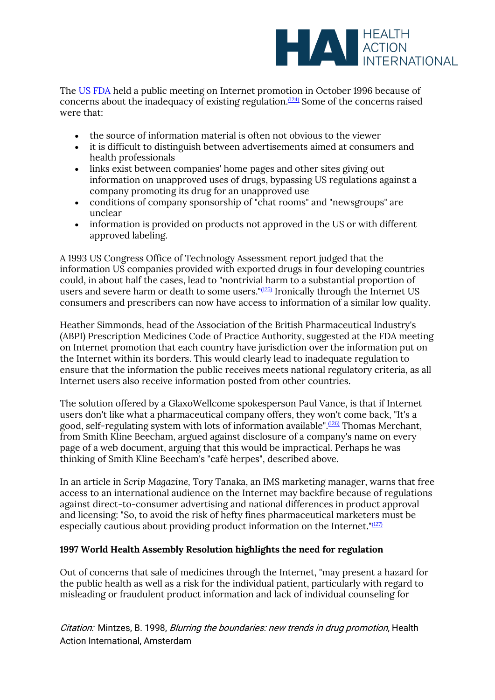

The [US FDA](http://www.fda.gov/) held a public meeting on Internet promotion in October 1996 because of concerns about the inadequacy of existing regulation.<sup> $(124)$ </sup> Some of the concerns raised were that:

- the source of information material is often not obvious to the viewer
- it is difficult to distinguish between advertisements aimed at consumers and health professionals
- links exist between companies' home pages and other sites giving out information on unapproved uses of drugs, bypassing US regulations against a company promoting its drug for an unapproved use
- conditions of company sponsorship of "chat rooms" and "newsgroups" are unclear
- information is provided on products not approved in the US or with different approved labeling.

A 1993 US Congress Office of Technology Assessment report judged that the information US companies provided with exported drugs in four developing countries could, in about half the cases, lead to "nontrivial harm to a substantial proportion of users and severe harm or death to some users."[\(125\)](file:///C:/Users/Dimity/OneDrive%20-%20HAI/Reports,%20papers/Blurring/blurring.ch1.html%23N_125_) Ironically through the Internet US consumers and prescribers can now have access to information of a similar low quality.

Heather Simmonds, head of the Association of the British Pharmaceutical Industry's (ABPI) Prescription Medicines Code of Practice Authority, suggested at the FDA meeting on Internet promotion that each country have jurisdiction over the information put on the Internet within its borders. This would clearly lead to inadequate regulation to ensure that the information the public receives meets national regulatory criteria, as all Internet users also receive information posted from other countries.

The solution offered by a GlaxoWellcome spokesperson Paul Vance, is that if Internet users don't like what a pharmaceutical company offers, they won't come back, "It's a good, self-regulating system with lots of information available".[\(126\)](file:///C:/Users/Dimity/OneDrive%20-%20HAI/Reports,%20papers/Blurring/blurring.ch1.html%23N_126_) Thomas Merchant, from Smith Kline Beecham, argued against disclosure of a company's name on every page of a web document, arguing that this would be impractical. Perhaps he was thinking of Smith Kline Beecham's "café herpes", described above.

In an article in *Scrip Magazine,* Tory Tanaka, an IMS marketing manager, warns that free access to an international audience on the Internet may backfire because of regulations against direct-to-consumer advertising and national differences in product approval and licensing: "So, to avoid the risk of hefty fines pharmaceutical marketers must be especially cautious about providing product information on the Internet." $(127)$ 

# **1997 World Health Assembly Resolution highlights the need for regulation**

Out of concerns that sale of medicines through the Internet, "may present a hazard for the public health as well as a risk for the individual patient, particularly with regard to misleading or fraudulent product information and lack of individual counseling for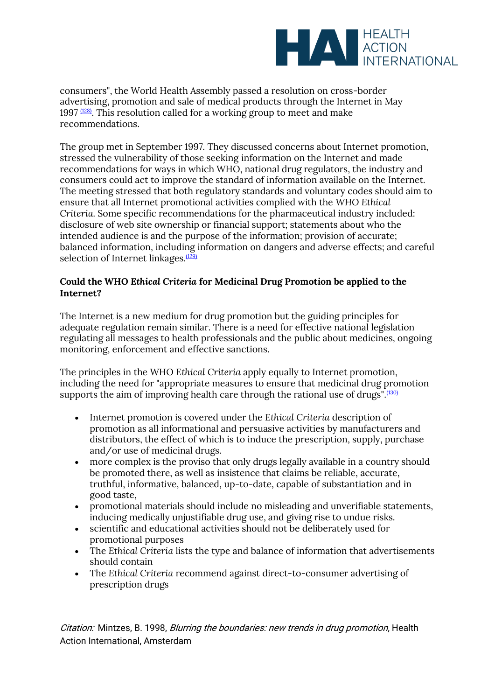

consumers", the World Health Assembly passed a resolution on cross-border advertising, promotion and sale of medical products through the Internet in May 1997  $(128)$ . This resolution called for a working group to meet and make recommendations.

The group met in September 1997*.* They discussed concerns about Internet promotion, stressed the vulnerability of those seeking information on the Internet and made recommendations for ways in which WHO, national drug regulators, the industry and consumers could act to improve the standard of information available on the Internet. The meeting stressed that both regulatory standards and voluntary codes should aim to ensure that all Internet promotional activities complied with the *WHO Ethical Criteria.* Some specific recommendations for the pharmaceutical industry included: disclosure of web site ownership or financial support; statements about who the intended audience is and the purpose of the information; provision of accurate; balanced information, including information on dangers and adverse effects; and careful selection of Internet linkages.<sup>[\(129\)](file:///C:/Users/Dimity/OneDrive%20-%20HAI/Reports,%20papers/Blurring/blurring.ch1.html%23N_129_)</sup>

# **Could the WHO** *Ethical Criteria* **for Medicinal Drug Promotion be applied to the Internet?**

The Internet is a new medium for drug promotion but the guiding principles for adequate regulation remain similar. There is a need for effective national legislation regulating all messages to health professionals and the public about medicines, ongoing monitoring, enforcement and effective sanctions.

The principles in the WHO *Ethical Criteria* apply equally to Internet promotion, including the need for "appropriate measures to ensure that medicinal drug promotion supports the aim of improving health care through the rational use of drugs". $(130)$ 

- Internet promotion is covered under the *Ethical Criteria* description of promotion as all informational and persuasive activities by manufacturers and distributors, the effect of which is to induce the prescription, supply, purchase and/or use of medicinal drugs.
- more complex is the proviso that only drugs legally available in a country should be promoted there, as well as insistence that claims be reliable, accurate, truthful, informative, balanced, up-to-date, capable of substantiation and in good taste,
- promotional materials should include no misleading and unverifiable statements, inducing medically unjustifiable drug use, and giving rise to undue risks.
- scientific and educational activities should not be deliberately used for promotional purposes
- The *Ethical Criteria* lists the type and balance of information that advertisements should contain
- The *Ethical Criteria* recommend against direct-to-consumer advertising of prescription drugs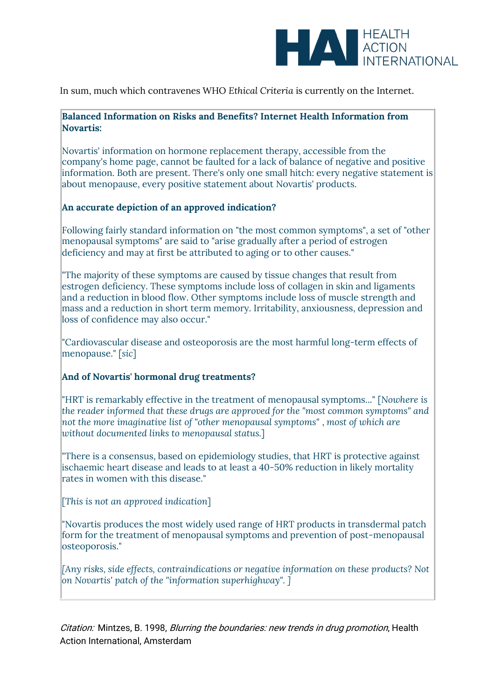

In sum, much which contravenes WHO *Ethical Criteria* is currently on the Internet.

# **Balanced Information on Risks and Benefits? Internet Health Information from Novartis:**

Novartis' information on hormone replacement therapy, accessible from the company's home page, cannot be faulted for a lack of balance of negative and positive information. Both are present. There's only one small hitch: every negative statement is about menopause, every positive statement about Novartis' products.

# **An accurate depiction of an approved indication?**

Following fairly standard information on "the most common symptoms", a set of "other menopausal symptoms" are said to "arise gradually after a period of estrogen deficiency and may at first be attributed to aging or to other causes."

"The majority of these symptoms are caused by tissue changes that result from estrogen deficiency. These symptoms include loss of collagen in skin and ligaments and a reduction in blood flow. Other symptoms include loss of muscle strength and mass and a reduction in short term memory. Irritability, anxiousness, depression and loss of confidence may also occur."

"Cardiovascular disease and osteoporosis are the most harmful long-term effects of menopause." [*sic*]

# **And of Novartis' hormonal drug treatments?**

"HRT is remarkably effective in the treatment of menopausal symptoms..." [*Nowhere is the reader informed that these drugs are approved for the "most common symptoms" and not the more imaginative list of "other menopausal symptoms"* , *most of which are without documented links to menopausal status.*]

"There is a consensus, based on epidemiology studies, that HRT is protective against ischaemic heart disease and leads to at least a 40-50% reduction in likely mortality rates in women with this disease."

[*This is not an approved indication*]

"Novartis produces the most widely used range of HRT products in transdermal patch form for the treatment of menopausal symptoms and prevention of post-menopausal osteoporosis."

*[Any risks, side effects, contraindications or negative information on these products? Not on Novartis' patch of the "information superhighway". ]*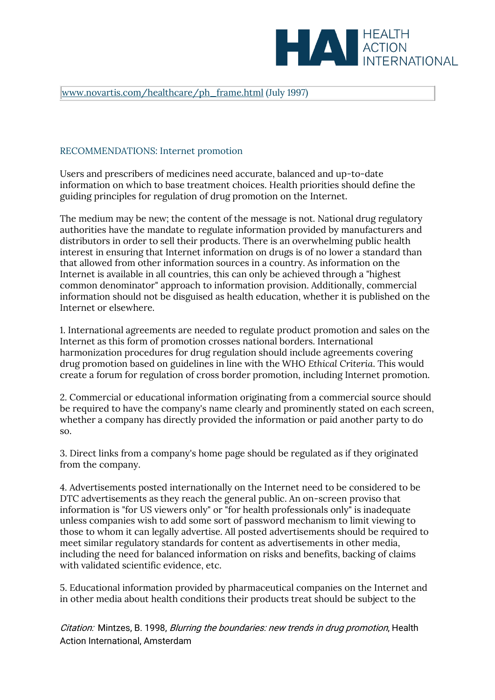

#### [www.novartis.com/healthcare/ph\\_frame.html](http://www.novartis.com/healthcare/ph_frame.html) (July 1997)

### RECOMMENDATIONS: Internet promotion

Users and prescribers of medicines need accurate, balanced and up-to-date information on which to base treatment choices. Health priorities should define the guiding principles for regulation of drug promotion on the Internet.

The medium may be new; the content of the message is not. National drug regulatory authorities have the mandate to regulate information provided by manufacturers and distributors in order to sell their products. There is an overwhelming public health interest in ensuring that Internet information on drugs is of no lower a standard than that allowed from other information sources in a country. As information on the Internet is available in all countries, this can only be achieved through a "highest common denominator" approach to information provision. Additionally, commercial information should not be disguised as health education, whether it is published on the Internet or elsewhere.

1. International agreements are needed to regulate product promotion and sales on the Internet as this form of promotion crosses national borders. International harmonization procedures for drug regulation should include agreements covering drug promotion based on guidelines in line with the WHO *Ethical Criteria*. This would create a forum for regulation of cross border promotion, including Internet promotion.

2. Commercial or educational information originating from a commercial source should be required to have the company's name clearly and prominently stated on each screen, whether a company has directly provided the information or paid another party to do so.

3. Direct links from a company's home page should be regulated as if they originated from the company.

4. Advertisements posted internationally on the Internet need to be considered to be DTC advertisements as they reach the general public. An on-screen proviso that information is "for US viewers only" or "for health professionals only" is inadequate unless companies wish to add some sort of password mechanism to limit viewing to those to whom it can legally advertise. All posted advertisements should be required to meet similar regulatory standards for content as advertisements in other media, including the need for balanced information on risks and benefits, backing of claims with validated scientific evidence, etc.

5. Educational information provided by pharmaceutical companies on the Internet and in other media about health conditions their products treat should be subject to the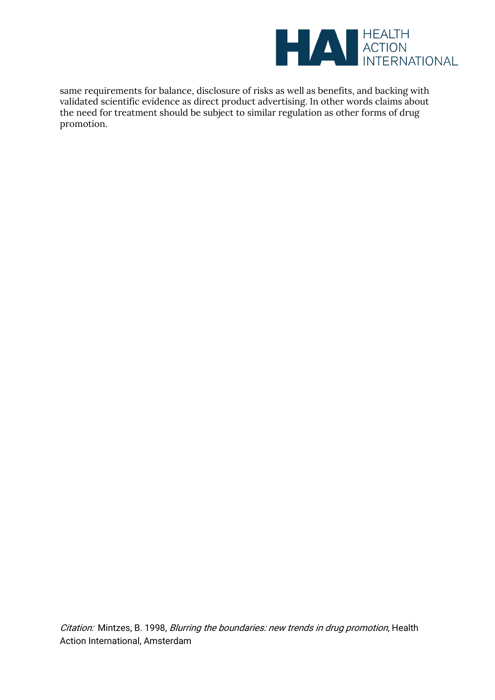

same requirements for balance, disclosure of risks as well as benefits, and backing with validated scientific evidence as direct product advertising. In other words claims about the need for treatment should be subject to similar regulation as other forms of drug promotion.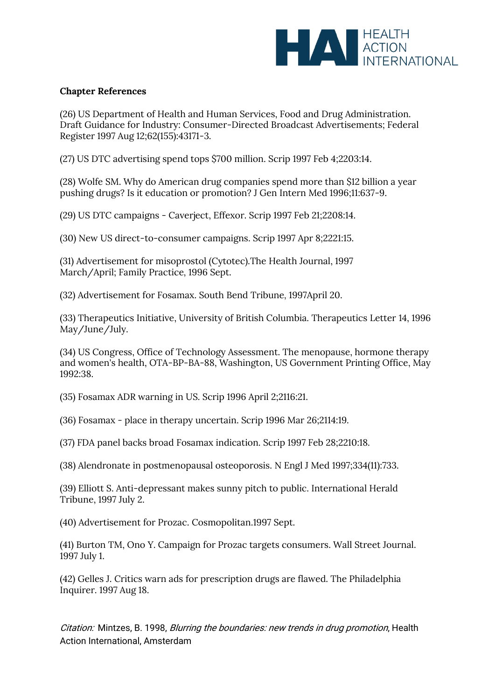

# **Chapter References**

(26) US Department of Health and Human Services, Food and Drug Administration. Draft Guidance for Industry: Consumer-Directed Broadcast Advertisements; Federal Register 1997 Aug 12;62(155):43171-3.

(27) US DTC advertising spend tops \$700 million. Scrip 1997 Feb 4;2203:14.

(28) Wolfe SM. Why do American drug companies spend more than \$12 billion a year pushing drugs? Is it education or promotion? J Gen Intern Med 1996;11:637-9.

(29) US DTC campaigns - Caverject, Effexor. Scrip 1997 Feb 21;2208:14.

(30) New US direct-to-consumer campaigns. Scrip 1997 Apr 8;2221:15.

(31) Advertisement for misoprostol (Cytotec).The Health Journal, 1997 March/April; Family Practice*,* 1996 Sept.

(32) Advertisement for Fosamax. South Bend Tribune*,* 1997April 20.

(33) Therapeutics Initiative, University of British Columbia. Therapeutics Letter 14, 1996 May/June/July.

(34) US Congress, Office of Technology Assessment. The menopause, hormone therapy and women's health, OTA-BP-BA-88, Washington, US Government Printing Office, May 1992:38.

(35) Fosamax ADR warning in US. Scrip 1996 April 2;2116:21.

(36) Fosamax - place in therapy uncertain. Scrip 1996 Mar 26;2114:19.

(37) FDA panel backs broad Fosamax indication. Scrip 1997 Feb 28;2210:18.

(38) Alendronate in postmenopausal osteoporosis. N Engl J Med 1997;334(11):733.

(39) Elliott S. Anti-depressant makes sunny pitch to public. International Herald Tribune, 1997 July 2.

(40) Advertisement for Prozac. Cosmopolitan.1997 Sept.

(41) Burton TM, Ono Y. Campaign for Prozac targets consumers. Wall Street Journal. 1997 July 1.

(42) Gelles J. Critics warn ads for prescription drugs are flawed. The Philadelphia Inquirer. 1997 Aug 18.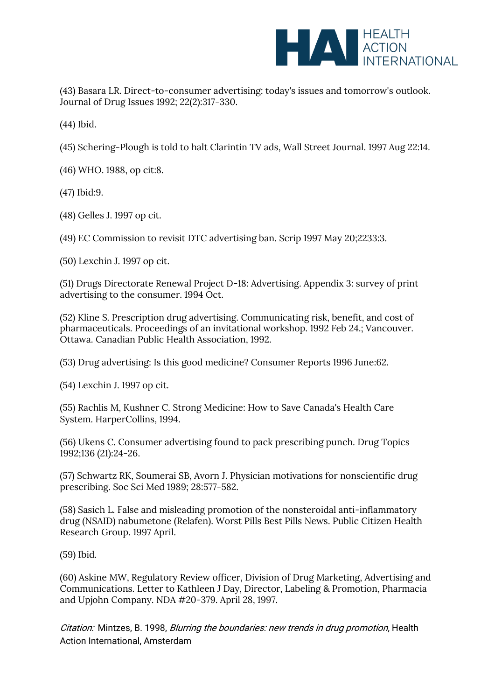

(43) Basara LR. Direct-to-consumer advertising: today's issues and tomorrow's outlook. Journal of Drug Issues 1992; 22(2):317-330.

(44) Ibid.

(45) Schering-Plough is told to halt Clarintin TV ads, Wall Street Journal. 1997 Aug 22:14.

(46) WHO. 1988, op cit:8.

(47) Ibid:9.

(48) Gelles J. 1997 op cit.

(49) EC Commission to revisit DTC advertising ban. Scrip 1997 May 20;2233:3.

(50) Lexchin J. 1997 op cit.

(51) Drugs Directorate Renewal Project D-18: Advertising. Appendix 3: survey of print advertising to the consumer. 1994 Oct.

(52) Kline S. Prescription drug advertising. Communicating risk, benefit, and cost of pharmaceuticals. Proceedings of an invitational workshop. 1992 Feb 24.; Vancouver. Ottawa. Canadian Public Health Association, 1992.

(53) Drug advertising: Is this good medicine? Consumer Reports 1996 June:62.

(54) Lexchin J. 1997 op cit.

(55) Rachlis M, Kushner C. Strong Medicine: How to Save Canada's Health Care System*.* HarperCollins, 1994.

(56) Ukens C. Consumer advertising found to pack prescribing punch. Drug Topics 1992;136 (21):24-26.

(57) Schwartz RK, Soumerai SB, Avorn J. Physician motivations for nonscientific drug prescribing. Soc Sci Med 1989; 28:577-582.

(58) Sasich L. False and misleading promotion of the nonsteroidal anti-inflammatory drug (NSAID) nabumetone (Relafen). Worst Pills Best Pills News*.* Public Citizen Health Research Group. 1997 April.

(59) Ibid.

(60) Askine MW, Regulatory Review officer, Division of Drug Marketing, Advertising and Communications. Letter to Kathleen J Day, Director, Labeling & Promotion, Pharmacia and Upjohn Company. NDA #20-379. April 28, 1997.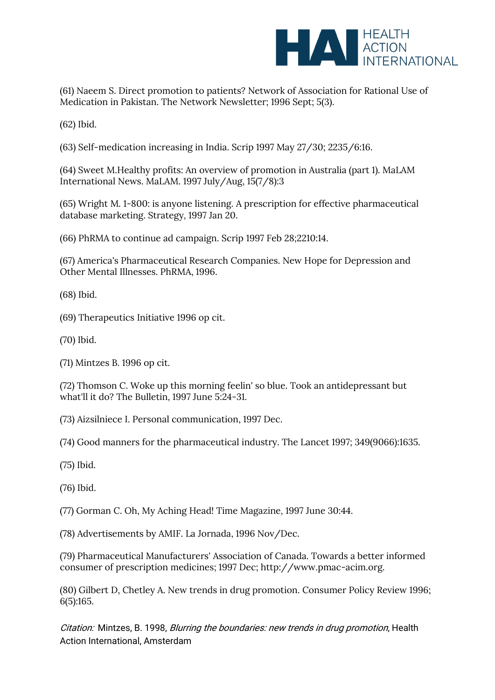

(61) Naeem S. Direct promotion to patients? Network of Association for Rational Use of Medication in Pakistan. The Network Newsletter; 1996 Sept; 5(3).

(62) Ibid.

(63) Self-medication increasing in India. Scrip 1997 May 27/30; 2235/6:16.

(64) Sweet M.Healthy profits: An overview of promotion in Australia (part 1). MaLAM International News. MaLAM. 1997 July/Aug, 15(7/8):3

(65) Wright M. 1-800: is anyone listening. A prescription for effective pharmaceutical database marketing. Strategy*,* 1997 Jan 20.

(66) PhRMA to continue ad campaign. Scrip 1997 Feb 28;2210:14.

(67) America's Pharmaceutical Research Companies. New Hope for Depression and Other Mental Illnesses*.* PhRMA, 1996.

(68) Ibid.

(69) Therapeutics Initiative 1996 op cit.

(70) Ibid.

(71) Mintzes B. 1996 op cit.

(72) Thomson C. Woke up this morning feelin' so blue. Took an antidepressant but what'll it do? The Bulletin, 1997 June 5:24-31.

(73) Aizsilniece I. Personal communication, 1997 Dec.

(74) Good manners for the pharmaceutical industry. The Lancet 1997; 349(9066):1635.

(75) Ibid.

(76) Ibid.

(77) Gorman C. Oh, My Aching Head! Time Magazine*,* 1997 June 30:44.

(78) Advertisements by AMIF. La Jornada, 1996 Nov/Dec.

(79) Pharmaceutical Manufacturers' Association of Canada. Towards a better informed consumer of prescription medicines; 1997 Dec; http://www.pmac-acim.org.

(80) Gilbert D, Chetley A. New trends in drug promotion. Consumer Policy Review 1996; 6(5):165.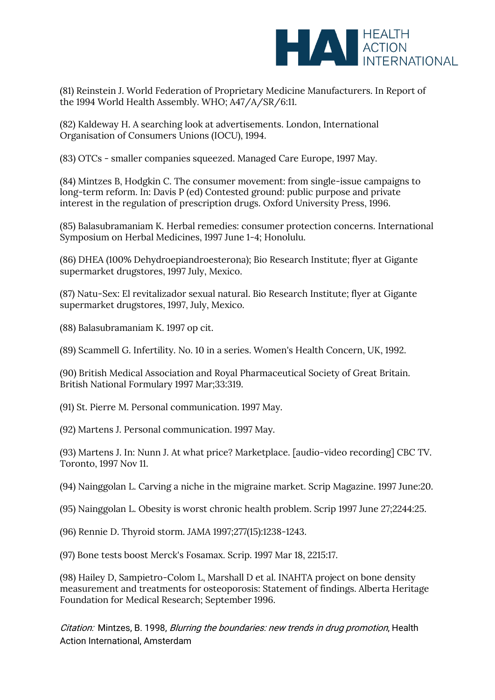

(81) Reinstein J. World Federation of Proprietary Medicine Manufacturers. In Report of the 1994 World Health Assembly. WHO; A47/A/SR/6:11.

(82) Kaldeway H. A searching look at advertisements. London, International Organisation of Consumers Unions (IOCU), 1994.

(83) OTCs - smaller companies squeezed. Managed Care Europe*,* 1997 May.

(84) Mintzes B, Hodgkin C. The consumer movement: from single-issue campaigns to long-term reform. In: Davis P (ed) Contested ground: public purpose and private interest in the regulation of prescription drugs. Oxford University Press, 1996.

(85) Balasubramaniam K. Herbal remedies: consumer protection concerns. International Symposium on Herbal Medicines, 1997 June 1-4; Honolulu.

(86) DHEA (100% Dehydroepiandroesterona); Bio Research Institute; flyer at Gigante supermarket drugstores, 1997 July, Mexico.

(87) Natu-Sex: El revitalizador sexual natural. Bio Research Institute; flyer at Gigante supermarket drugstores, 1997, July, Mexico.

(88) Balasubramaniam K. 1997 op cit.

(89) Scammell G. Infertility. No. 10 in a series. Women's Health Concern, UK, 1992.

(90) British Medical Association and Royal Pharmaceutical Society of Great Britain. British National Formulary 1997 Mar;33:319.

(91) St. Pierre M. Personal communication. 1997 May.

(92) Martens J. Personal communication. 1997 May.

(93) Martens J. In: Nunn J. At what price? Marketplace. [audio-video recording] CBC TV. Toronto, 1997 Nov 11.

(94) Nainggolan L. Carving a niche in the migraine market. Scrip Magazine. 1997 June:20.

(95) Nainggolan L. Obesity is worst chronic health problem. Scrip 1997 June 27;2244:25.

(96) Rennie D. Thyroid storm. *JAMA* 1997;277(15):1238-1243.

(97) Bone tests boost Merck's Fosamax*.* Scrip. 1997 Mar 18, 2215:17.

(98) Hailey D, Sampietro-Colom L, Marshall D et al. INAHTA project on bone density measurement and treatments for osteoporosis: Statement of findings. Alberta Heritage Foundation for Medical Research; September 1996.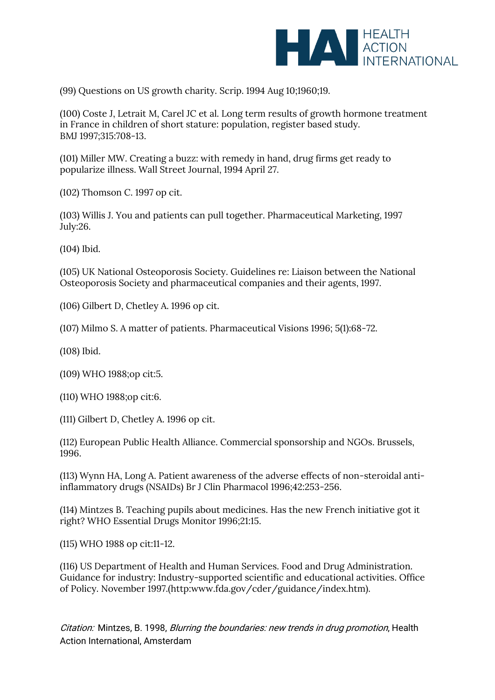

(99) Questions on US growth charity. Scrip. 1994 Aug 10;1960;19.

(100) Coste J, Letrait M, Carel JC et al. Long term results of growth hormone treatment in France in children of short stature: population, register based study. BMJ 1997;315:708-13.

(101) Miller MW. Creating a buzz: with remedy in hand, drug firms get ready to popularize illness. Wall Street Journal, 1994 April 27.

(102) Thomson C. 1997 op cit.

(103) Willis J. You and patients can pull together. Pharmaceutical Marketing, 1997 July:26.

(104) Ibid.

(105) UK National Osteoporosis Society. Guidelines re: Liaison between the National Osteoporosis Society and pharmaceutical companies and their agents, 1997.

(106) Gilbert D, Chetley A. 1996 op cit.

(107) Milmo S. A matter of patients. Pharmaceutical Visions 1996; 5(1):68-72.

(108) Ibid.

(109) WHO 1988;op cit:5.

(110) WHO 1988;op cit:6.

(111) Gilbert D, Chetley A. 1996 op cit.

(112) European Public Health Alliance. Commercial sponsorship and NGOs. Brussels, 1996.

(113) Wynn HA, Long A. Patient awareness of the adverse effects of non-steroidal antiinflammatory drugs (NSAIDs) Br J Clin Pharmacol 1996;42:253-256.

(114) Mintzes B. Teaching pupils about medicines. Has the new French initiative got it right? WHO Essential Drugs Monitor 1996;21:15.

(115) WHO 1988 op cit:11-12.

(116) US Department of Health and Human Services. Food and Drug Administration. Guidance for industry: Industry-supported scientific and educational activities. Office of Policy. November 1997.(http:www.fda.gov/cder/guidance/index.htm).